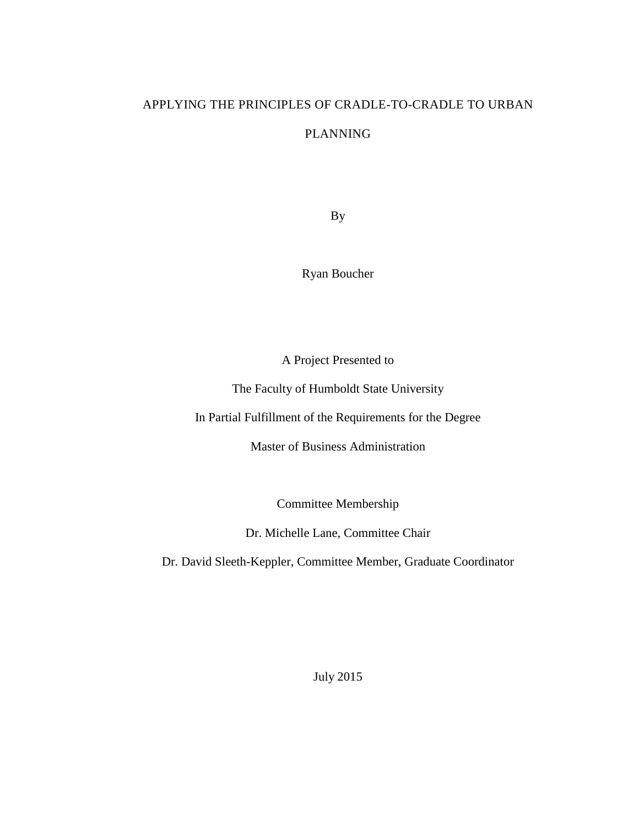# APPLYING THE PRINCIPLES OF CRADLE-TO-CRADLE TO URBAN

## PLANNING

By

Ryan Boucher

A Project Presented to

The Faculty of Humboldt State University

In Partial Fulfillment of the Requirements for the Degree

Master of Business Administration

Committee Membership

Dr. Michelle Lane, Committee Chair

Dr. David Sleeth-Keppler, Committee Member, Graduate Coordinator

July 2015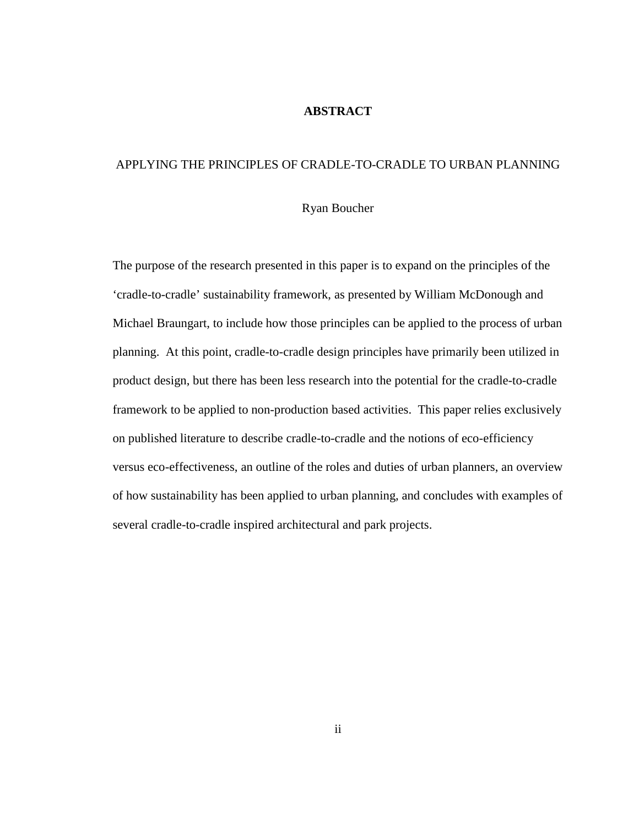## **ABSTRACT**

## <span id="page-1-0"></span>APPLYING THE PRINCIPLES OF CRADLE-TO-CRADLE TO URBAN PLANNING

## Ryan Boucher

The purpose of the research presented in this paper is to expand on the principles of the 'cradle-to-cradle' sustainability framework, as presented by William McDonough and Michael Braungart, to include how those principles can be applied to the process of urban planning. At this point, cradle-to-cradle design principles have primarily been utilized in product design, but there has been less research into the potential for the cradle-to-cradle framework to be applied to non-production based activities. This paper relies exclusively on published literature to describe cradle-to-cradle and the notions of eco-efficiency versus eco-effectiveness, an outline of the roles and duties of urban planners, an overview of how sustainability has been applied to urban planning, and concludes with examples of several cradle-to-cradle inspired architectural and park projects.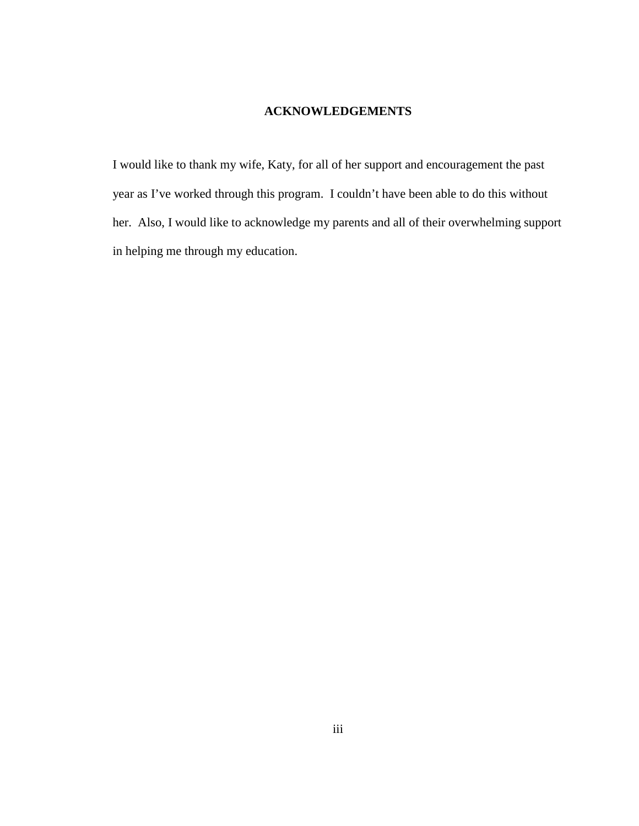## **ACKNOWLEDGEMENTS**

<span id="page-2-0"></span>I would like to thank my wife, Katy, for all of her support and encouragement the past year as I've worked through this program. I couldn't have been able to do this without her. Also, I would like to acknowledge my parents and all of their overwhelming support in helping me through my education.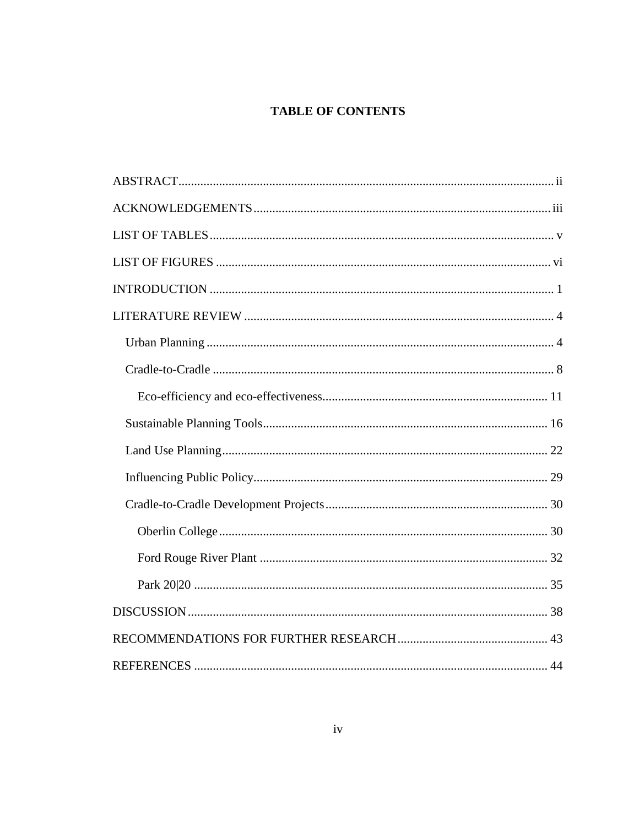# **TABLE OF CONTENTS**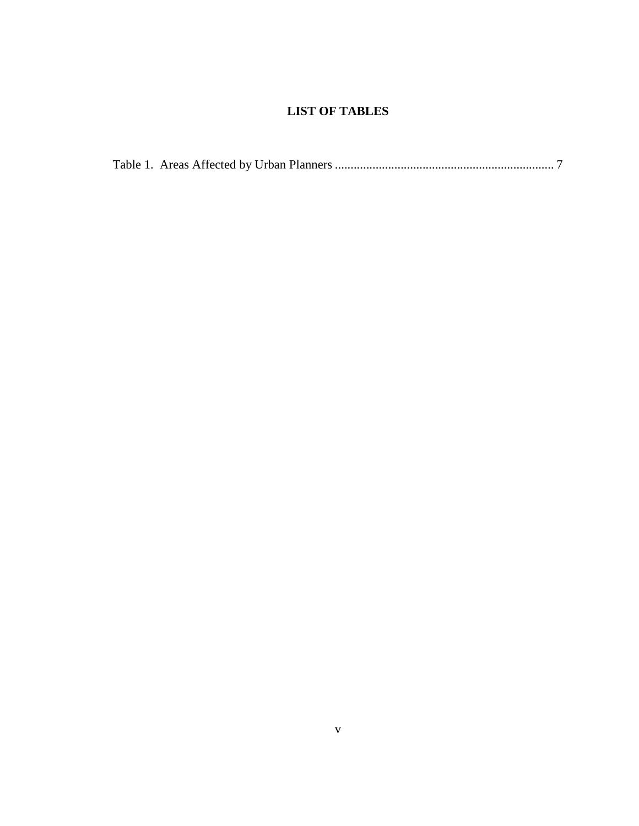# **LIST OF TABLES**

<span id="page-4-0"></span>

|--|--|--|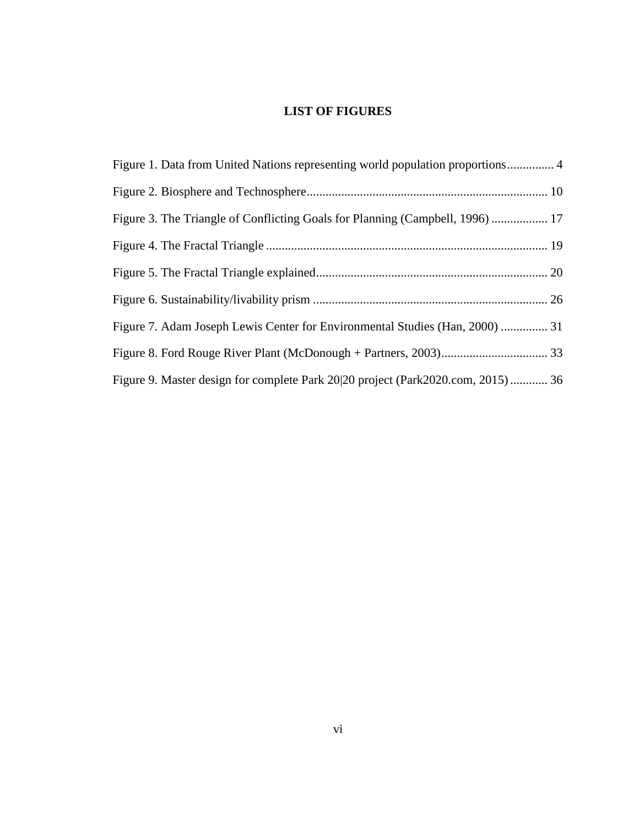# **LIST OF FIGURES**

<span id="page-5-0"></span>

| Figure 1. Data from United Nations representing world population proportions 4  |  |
|---------------------------------------------------------------------------------|--|
|                                                                                 |  |
| Figure 3. The Triangle of Conflicting Goals for Planning (Campbell, 1996)  17   |  |
|                                                                                 |  |
|                                                                                 |  |
|                                                                                 |  |
| Figure 7. Adam Joseph Lewis Center for Environmental Studies (Han, 2000)  31    |  |
|                                                                                 |  |
| Figure 9. Master design for complete Park 20 20 project (Park2020.com, 2015) 36 |  |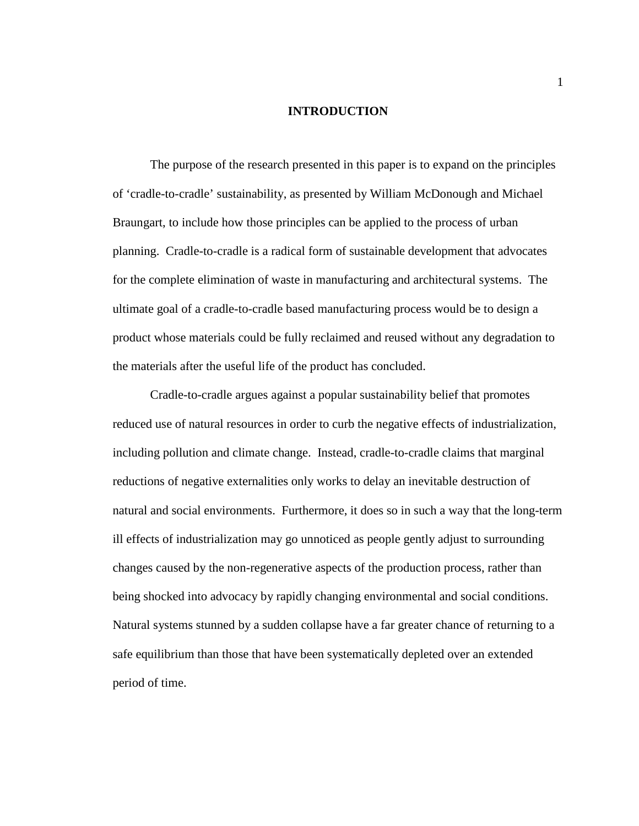## **INTRODUCTION**

<span id="page-6-0"></span>The purpose of the research presented in this paper is to expand on the principles of 'cradle-to-cradle' sustainability, as presented by William McDonough and Michael Braungart, to include how those principles can be applied to the process of urban planning. Cradle-to-cradle is a radical form of sustainable development that advocates for the complete elimination of waste in manufacturing and architectural systems. The ultimate goal of a cradle-to-cradle based manufacturing process would be to design a product whose materials could be fully reclaimed and reused without any degradation to the materials after the useful life of the product has concluded.

Cradle-to-cradle argues against a popular sustainability belief that promotes reduced use of natural resources in order to curb the negative effects of industrialization, including pollution and climate change. Instead, cradle-to-cradle claims that marginal reductions of negative externalities only works to delay an inevitable destruction of natural and social environments. Furthermore, it does so in such a way that the long-term ill effects of industrialization may go unnoticed as people gently adjust to surrounding changes caused by the non-regenerative aspects of the production process, rather than being shocked into advocacy by rapidly changing environmental and social conditions. Natural systems stunned by a sudden collapse have a far greater chance of returning to a safe equilibrium than those that have been systematically depleted over an extended period of time.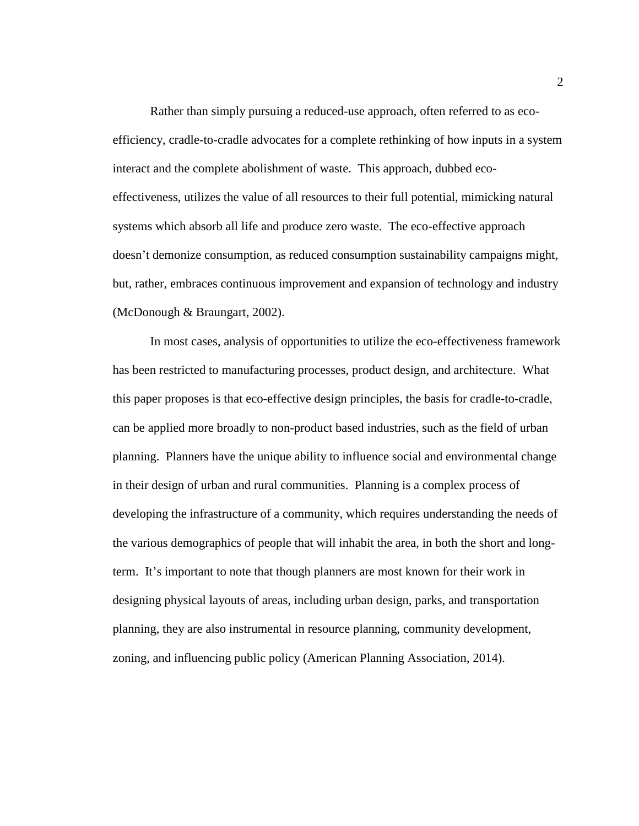Rather than simply pursuing a reduced-use approach, often referred to as ecoefficiency, cradle-to-cradle advocates for a complete rethinking of how inputs in a system interact and the complete abolishment of waste. This approach, dubbed ecoeffectiveness, utilizes the value of all resources to their full potential, mimicking natural systems which absorb all life and produce zero waste. The eco-effective approach doesn't demonize consumption, as reduced consumption sustainability campaigns might, but, rather, embraces continuous improvement and expansion of technology and industry (McDonough & Braungart, 2002).

In most cases, analysis of opportunities to utilize the eco-effectiveness framework has been restricted to manufacturing processes, product design, and architecture. What this paper proposes is that eco-effective design principles, the basis for cradle-to-cradle, can be applied more broadly to non-product based industries, such as the field of urban planning. Planners have the unique ability to influence social and environmental change in their design of urban and rural communities. Planning is a complex process of developing the infrastructure of a community, which requires understanding the needs of the various demographics of people that will inhabit the area, in both the short and longterm. It's important to note that though planners are most known for their work in designing physical layouts of areas, including urban design, parks, and transportation planning, they are also instrumental in resource planning, community development, zoning, and influencing public policy (American Planning Association, 2014).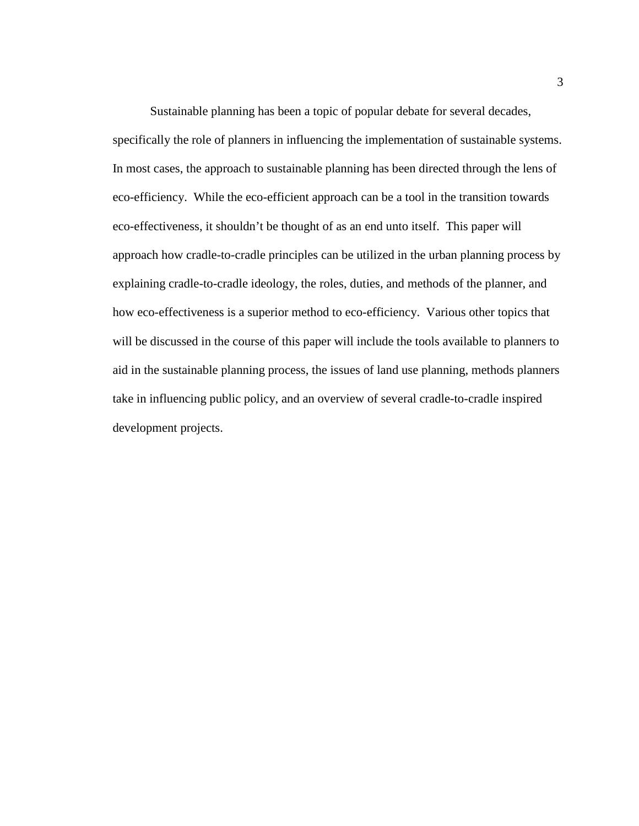Sustainable planning has been a topic of popular debate for several decades, specifically the role of planners in influencing the implementation of sustainable systems. In most cases, the approach to sustainable planning has been directed through the lens of eco-efficiency. While the eco-efficient approach can be a tool in the transition towards eco-effectiveness, it shouldn't be thought of as an end unto itself. This paper will approach how cradle-to-cradle principles can be utilized in the urban planning process by explaining cradle-to-cradle ideology, the roles, duties, and methods of the planner, and how eco-effectiveness is a superior method to eco-efficiency. Various other topics that will be discussed in the course of this paper will include the tools available to planners to aid in the sustainable planning process, the issues of land use planning, methods planners take in influencing public policy, and an overview of several cradle-to-cradle inspired development projects.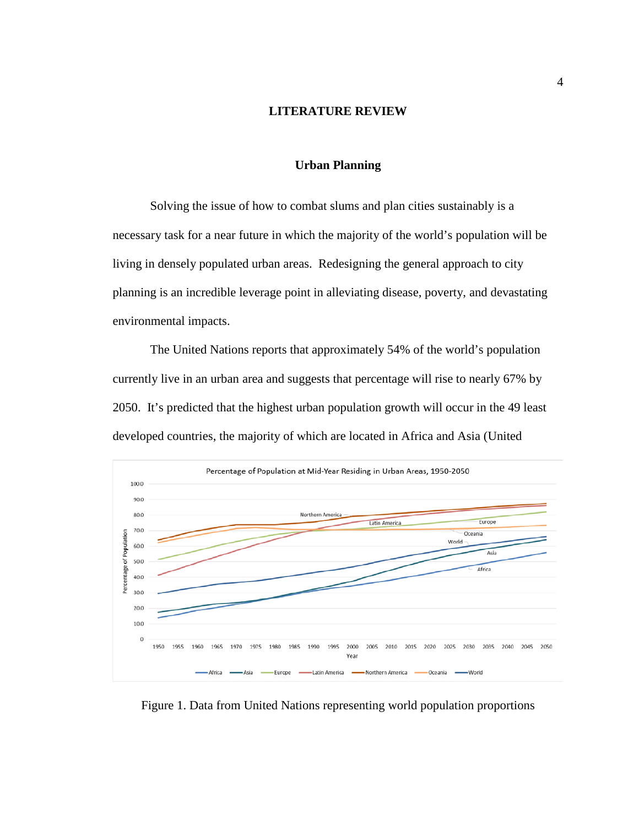## **LITERATURE REVIEW**

## **Urban Planning**

<span id="page-9-1"></span><span id="page-9-0"></span>Solving the issue of how to combat slums and plan cities sustainably is a necessary task for a near future in which the majority of the world's population will be living in densely populated urban areas. Redesigning the general approach to city planning is an incredible leverage point in alleviating disease, poverty, and devastating environmental impacts.

The United Nations reports that approximately 54% of the world's population currently live in an urban area and suggests that percentage will rise to nearly 67% by 2050. It's predicted that the highest urban population growth will occur in the 49 least developed countries, the majority of which are located in Africa and Asia (United



Figure 1. Data from United Nations representing world population proportions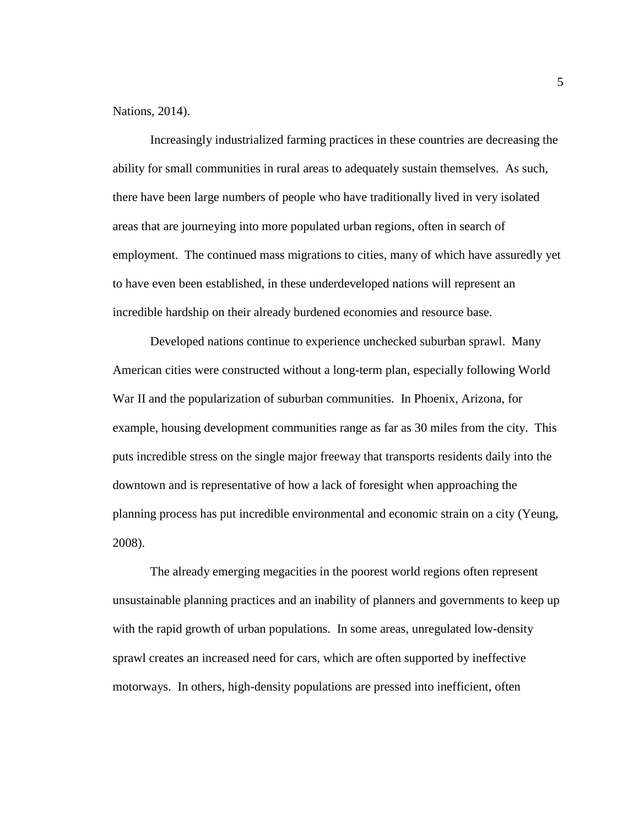Nations, 2014).

Increasingly industrialized farming practices in these countries are decreasing the ability for small communities in rural areas to adequately sustain themselves. As such, there have been large numbers of people who have traditionally lived in very isolated areas that are journeying into more populated urban regions, often in search of employment. The continued mass migrations to cities, many of which have assuredly yet to have even been established, in these underdeveloped nations will represent an incredible hardship on their already burdened economies and resource base.

Developed nations continue to experience unchecked suburban sprawl. Many American cities were constructed without a long-term plan, especially following World War II and the popularization of suburban communities. In Phoenix, Arizona, for example, housing development communities range as far as 30 miles from the city. This puts incredible stress on the single major freeway that transports residents daily into the downtown and is representative of how a lack of foresight when approaching the planning process has put incredible environmental and economic strain on a city (Yeung, 2008).

The already emerging megacities in the poorest world regions often represent unsustainable planning practices and an inability of planners and governments to keep up with the rapid growth of urban populations. In some areas, unregulated low-density sprawl creates an increased need for cars, which are often supported by ineffective motorways. In others, high-density populations are pressed into inefficient, often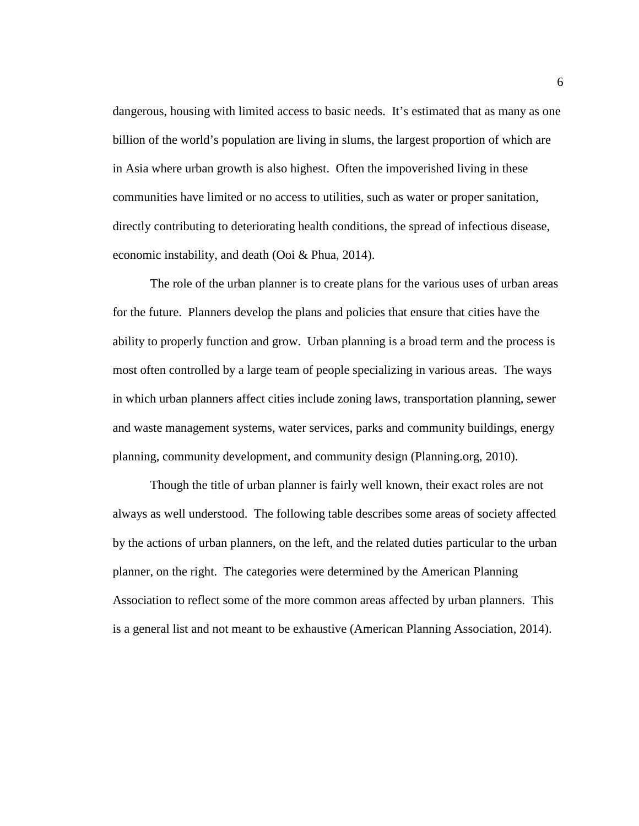dangerous, housing with limited access to basic needs. It's estimated that as many as one billion of the world's population are living in slums, the largest proportion of which are in Asia where urban growth is also highest. Often the impoverished living in these communities have limited or no access to utilities, such as water or proper sanitation, directly contributing to deteriorating health conditions, the spread of infectious disease, economic instability, and death (Ooi & Phua, 2014).

The role of the urban planner is to create plans for the various uses of urban areas for the future. Planners develop the plans and policies that ensure that cities have the ability to properly function and grow. Urban planning is a broad term and the process is most often controlled by a large team of people specializing in various areas. The ways in which urban planners affect cities include zoning laws, transportation planning, sewer and waste management systems, water services, parks and community buildings, energy planning, community development, and community design (Planning.org, 2010).

Though the title of urban planner is fairly well known, their exact roles are not always as well understood. The following table describes some areas of society affected by the actions of urban planners, on the left, and the related duties particular to the urban planner, on the right. The categories were determined by the American Planning Association to reflect some of the more common areas affected by urban planners. This is a general list and not meant to be exhaustive (American Planning Association, 2014).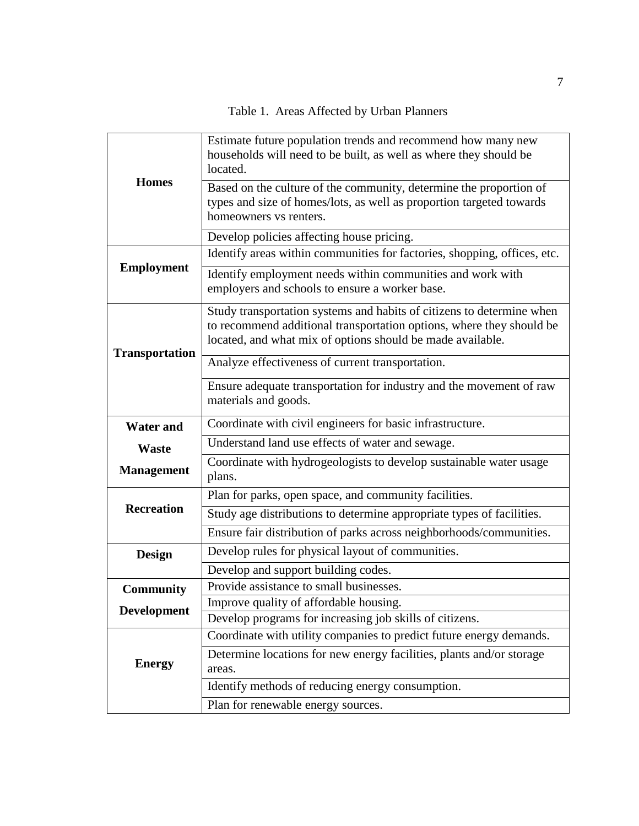Table 1. Areas Affected by Urban Planners

<span id="page-12-0"></span>

| <b>Homes</b>          | Estimate future population trends and recommend how many new<br>households will need to be built, as well as where they should be<br>located.                                                               |
|-----------------------|-------------------------------------------------------------------------------------------------------------------------------------------------------------------------------------------------------------|
|                       | Based on the culture of the community, determine the proportion of<br>types and size of homes/lots, as well as proportion targeted towards<br>homeowners vs renters.                                        |
|                       | Develop policies affecting house pricing.                                                                                                                                                                   |
|                       | Identify areas within communities for factories, shopping, offices, etc.                                                                                                                                    |
| <b>Employment</b>     | Identify employment needs within communities and work with<br>employers and schools to ensure a worker base.                                                                                                |
| <b>Transportation</b> | Study transportation systems and habits of citizens to determine when<br>to recommend additional transportation options, where they should be<br>located, and what mix of options should be made available. |
|                       | Analyze effectiveness of current transportation.                                                                                                                                                            |
|                       | Ensure adequate transportation for industry and the movement of raw<br>materials and goods.                                                                                                                 |
| <b>Water and</b>      | Coordinate with civil engineers for basic infrastructure.                                                                                                                                                   |
| Waste                 | Understand land use effects of water and sewage.                                                                                                                                                            |
| <b>Management</b>     | Coordinate with hydrogeologists to develop sustainable water usage<br>plans.                                                                                                                                |
|                       | Plan for parks, open space, and community facilities.                                                                                                                                                       |
| <b>Recreation</b>     | Study age distributions to determine appropriate types of facilities.                                                                                                                                       |
|                       | Ensure fair distribution of parks across neighborhoods/communities.                                                                                                                                         |
| <b>Design</b>         | Develop rules for physical layout of communities.                                                                                                                                                           |
|                       | Develop and support building codes.                                                                                                                                                                         |
| <b>Community</b>      | Provide assistance to small businesses.                                                                                                                                                                     |
| <b>Development</b>    | Improve quality of affordable housing.                                                                                                                                                                      |
|                       | Develop programs for increasing job skills of citizens.                                                                                                                                                     |
| <b>Energy</b>         | Coordinate with utility companies to predict future energy demands.                                                                                                                                         |
|                       | Determine locations for new energy facilities, plants and/or storage<br>areas.                                                                                                                              |
|                       | Identify methods of reducing energy consumption.                                                                                                                                                            |
|                       | Plan for renewable energy sources.                                                                                                                                                                          |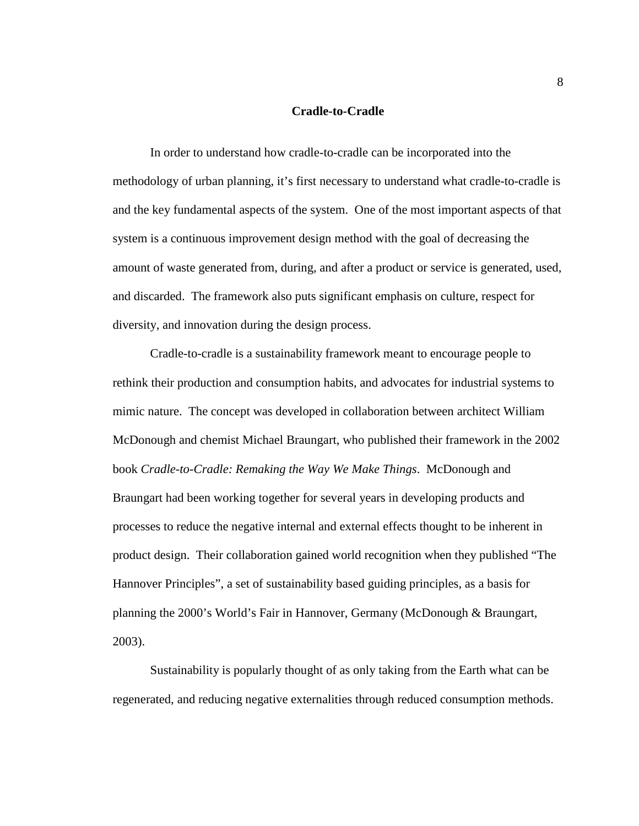## **Cradle-to-Cradle**

<span id="page-13-0"></span>In order to understand how cradle-to-cradle can be incorporated into the methodology of urban planning, it's first necessary to understand what cradle-to-cradle is and the key fundamental aspects of the system. One of the most important aspects of that system is a continuous improvement design method with the goal of decreasing the amount of waste generated from, during, and after a product or service is generated, used, and discarded. The framework also puts significant emphasis on culture, respect for diversity, and innovation during the design process.

Cradle-to-cradle is a sustainability framework meant to encourage people to rethink their production and consumption habits, and advocates for industrial systems to mimic nature. The concept was developed in collaboration between architect William McDonough and chemist Michael Braungart, who published their framework in the 2002 book *Cradle-to-Cradle: Remaking the Way We Make Things*. McDonough and Braungart had been working together for several years in developing products and processes to reduce the negative internal and external effects thought to be inherent in product design. Their collaboration gained world recognition when they published "The Hannover Principles", a set of sustainability based guiding principles, as a basis for planning the 2000's World's Fair in Hannover, Germany (McDonough & Braungart, 2003).

Sustainability is popularly thought of as only taking from the Earth what can be regenerated, and reducing negative externalities through reduced consumption methods.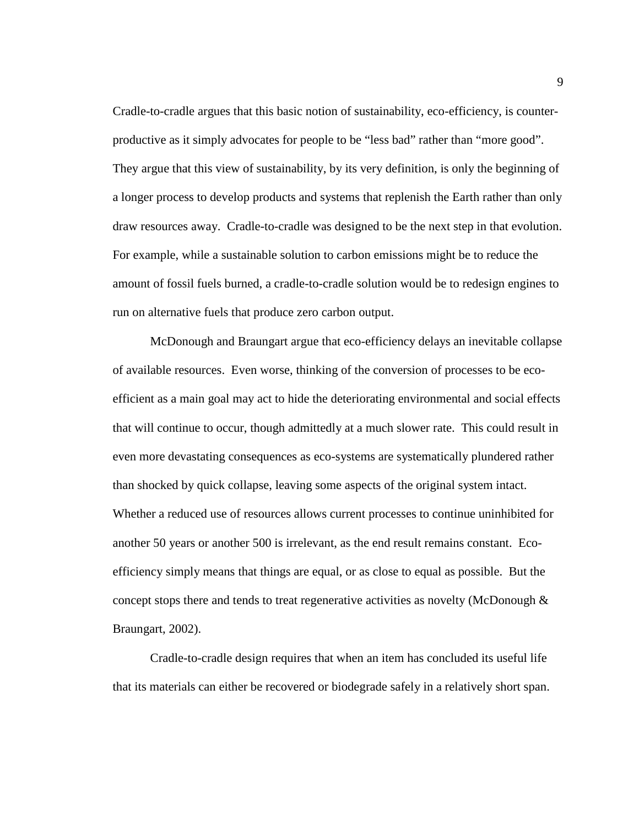Cradle-to-cradle argues that this basic notion of sustainability, eco-efficiency, is counterproductive as it simply advocates for people to be "less bad" rather than "more good". They argue that this view of sustainability, by its very definition, is only the beginning of a longer process to develop products and systems that replenish the Earth rather than only draw resources away. Cradle-to-cradle was designed to be the next step in that evolution. For example, while a sustainable solution to carbon emissions might be to reduce the amount of fossil fuels burned, a cradle-to-cradle solution would be to redesign engines to run on alternative fuels that produce zero carbon output.

McDonough and Braungart argue that eco-efficiency delays an inevitable collapse of available resources. Even worse, thinking of the conversion of processes to be ecoefficient as a main goal may act to hide the deteriorating environmental and social effects that will continue to occur, though admittedly at a much slower rate. This could result in even more devastating consequences as eco-systems are systematically plundered rather than shocked by quick collapse, leaving some aspects of the original system intact. Whether a reduced use of resources allows current processes to continue uninhibited for another 50 years or another 500 is irrelevant, as the end result remains constant. Ecoefficiency simply means that things are equal, or as close to equal as possible. But the concept stops there and tends to treat regenerative activities as novelty (McDonough & Braungart, 2002).

Cradle-to-cradle design requires that when an item has concluded its useful life that its materials can either be recovered or biodegrade safely in a relatively short span.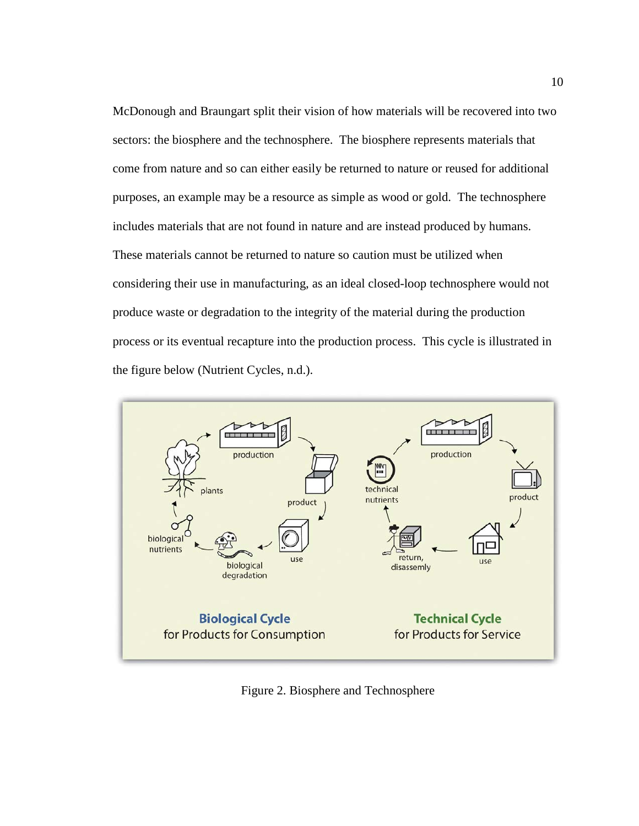McDonough and Braungart split their vision of how materials will be recovered into two sectors: the biosphere and the technosphere. The biosphere represents materials that come from nature and so can either easily be returned to nature or reused for additional purposes, an example may be a resource as simple as wood or gold. The technosphere includes materials that are not found in nature and are instead produced by humans. These materials cannot be returned to nature so caution must be utilized when considering their use in manufacturing, as an ideal closed-loop technosphere would not produce waste or degradation to the integrity of the material during the production process or its eventual recapture into the production process. This cycle is illustrated in the figure below (Nutrient Cycles, n.d.).



<span id="page-15-0"></span>Figure 2. Biosphere and Technosphere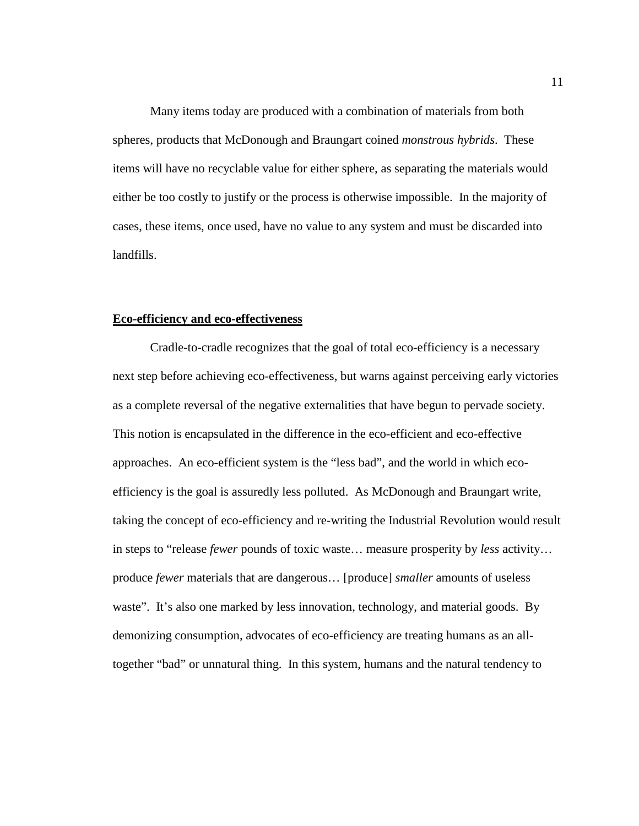Many items today are produced with a combination of materials from both spheres, products that McDonough and Braungart coined *monstrous hybrids*. These items will have no recyclable value for either sphere, as separating the materials would either be too costly to justify or the process is otherwise impossible. In the majority of cases, these items, once used, have no value to any system and must be discarded into landfills.

#### <span id="page-16-0"></span>**Eco-efficiency and eco-effectiveness**

Cradle-to-cradle recognizes that the goal of total eco-efficiency is a necessary next step before achieving eco-effectiveness, but warns against perceiving early victories as a complete reversal of the negative externalities that have begun to pervade society. This notion is encapsulated in the difference in the eco-efficient and eco-effective approaches. An eco-efficient system is the "less bad", and the world in which ecoefficiency is the goal is assuredly less polluted. As McDonough and Braungart write, taking the concept of eco-efficiency and re-writing the Industrial Revolution would result in steps to "release *fewer* pounds of toxic waste… measure prosperity by *less* activity… produce *fewer* materials that are dangerous… [produce] *smaller* amounts of useless waste". It's also one marked by less innovation, technology, and material goods. By demonizing consumption, advocates of eco-efficiency are treating humans as an alltogether "bad" or unnatural thing. In this system, humans and the natural tendency to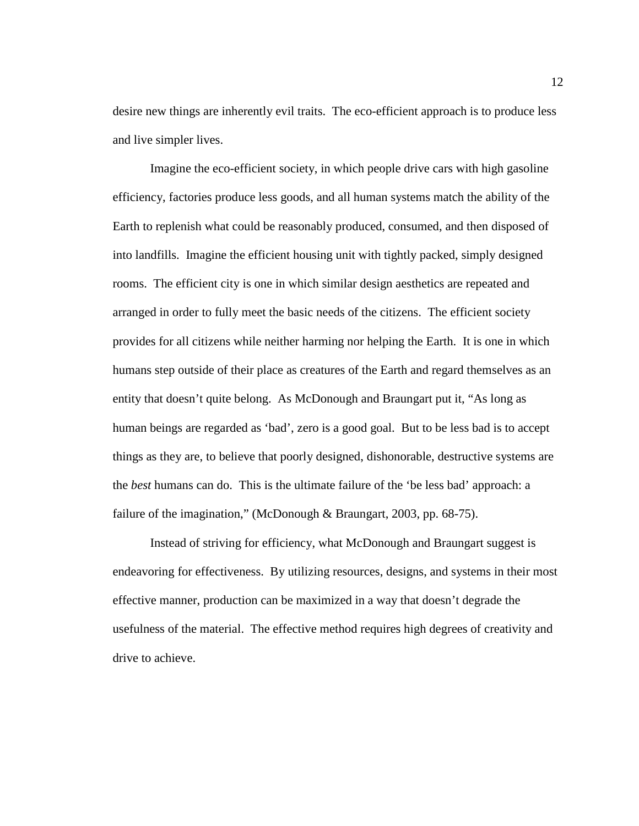desire new things are inherently evil traits. The eco-efficient approach is to produce less and live simpler lives.

Imagine the eco-efficient society, in which people drive cars with high gasoline efficiency, factories produce less goods, and all human systems match the ability of the Earth to replenish what could be reasonably produced, consumed, and then disposed of into landfills. Imagine the efficient housing unit with tightly packed, simply designed rooms. The efficient city is one in which similar design aesthetics are repeated and arranged in order to fully meet the basic needs of the citizens. The efficient society provides for all citizens while neither harming nor helping the Earth. It is one in which humans step outside of their place as creatures of the Earth and regard themselves as an entity that doesn't quite belong. As McDonough and Braungart put it, "As long as human beings are regarded as 'bad', zero is a good goal. But to be less bad is to accept things as they are, to believe that poorly designed, dishonorable, destructive systems are the *best* humans can do. This is the ultimate failure of the 'be less bad' approach: a failure of the imagination," (McDonough & Braungart, 2003, pp. 68-75).

Instead of striving for efficiency, what McDonough and Braungart suggest is endeavoring for effectiveness. By utilizing resources, designs, and systems in their most effective manner, production can be maximized in a way that doesn't degrade the usefulness of the material. The effective method requires high degrees of creativity and drive to achieve.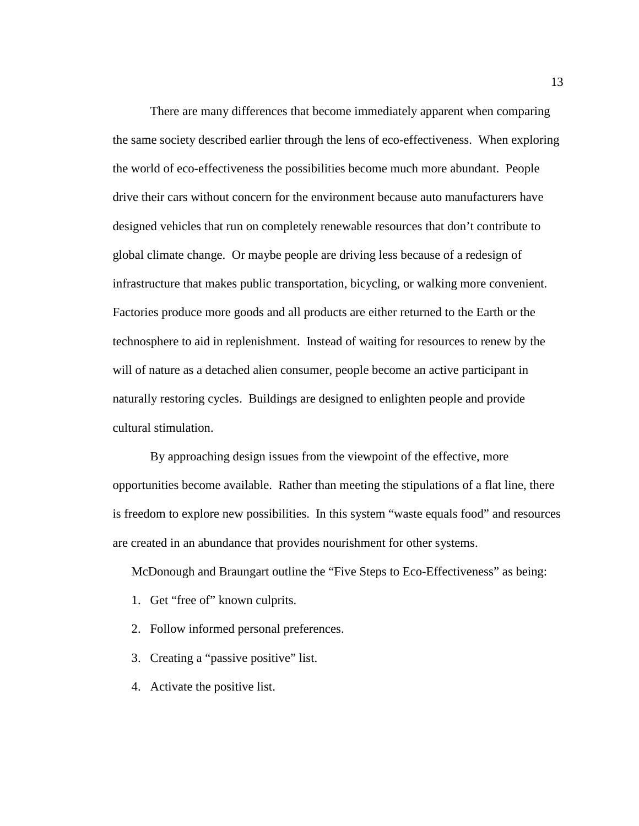There are many differences that become immediately apparent when comparing the same society described earlier through the lens of eco-effectiveness. When exploring the world of eco-effectiveness the possibilities become much more abundant. People drive their cars without concern for the environment because auto manufacturers have designed vehicles that run on completely renewable resources that don't contribute to global climate change. Or maybe people are driving less because of a redesign of infrastructure that makes public transportation, bicycling, or walking more convenient. Factories produce more goods and all products are either returned to the Earth or the technosphere to aid in replenishment. Instead of waiting for resources to renew by the will of nature as a detached alien consumer, people become an active participant in naturally restoring cycles. Buildings are designed to enlighten people and provide cultural stimulation.

By approaching design issues from the viewpoint of the effective, more opportunities become available. Rather than meeting the stipulations of a flat line, there is freedom to explore new possibilities. In this system "waste equals food" and resources are created in an abundance that provides nourishment for other systems.

McDonough and Braungart outline the "Five Steps to Eco-Effectiveness" as being:

- 1. Get "free of" known culprits.
- 2. Follow informed personal preferences.
- 3. Creating a "passive positive" list.
- 4. Activate the positive list.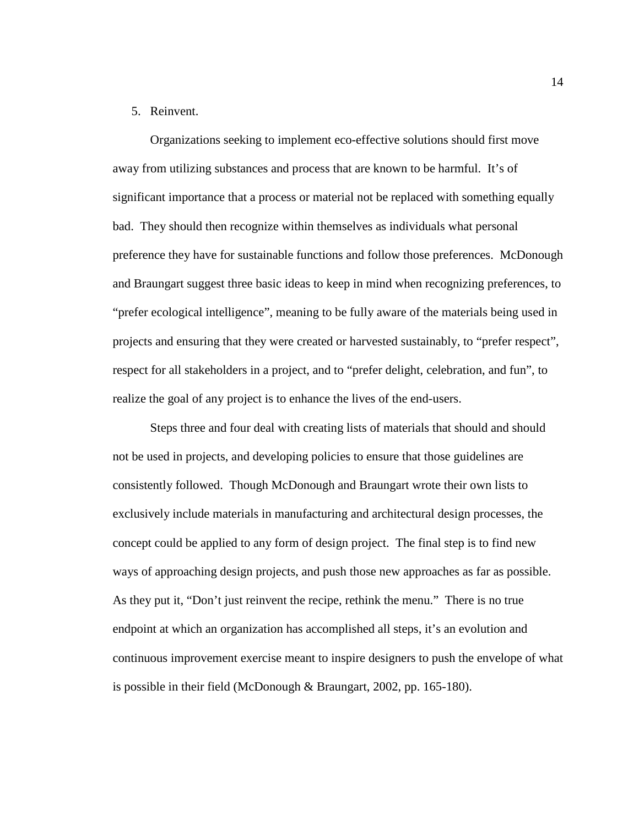## 5. Reinvent.

Organizations seeking to implement eco-effective solutions should first move away from utilizing substances and process that are known to be harmful. It's of significant importance that a process or material not be replaced with something equally bad. They should then recognize within themselves as individuals what personal preference they have for sustainable functions and follow those preferences. McDonough and Braungart suggest three basic ideas to keep in mind when recognizing preferences, to "prefer ecological intelligence", meaning to be fully aware of the materials being used in projects and ensuring that they were created or harvested sustainably, to "prefer respect", respect for all stakeholders in a project, and to "prefer delight, celebration, and fun", to realize the goal of any project is to enhance the lives of the end-users.

Steps three and four deal with creating lists of materials that should and should not be used in projects, and developing policies to ensure that those guidelines are consistently followed. Though McDonough and Braungart wrote their own lists to exclusively include materials in manufacturing and architectural design processes, the concept could be applied to any form of design project. The final step is to find new ways of approaching design projects, and push those new approaches as far as possible. As they put it, "Don't just reinvent the recipe, rethink the menu." There is no true endpoint at which an organization has accomplished all steps, it's an evolution and continuous improvement exercise meant to inspire designers to push the envelope of what is possible in their field (McDonough & Braungart, 2002, pp. 165-180).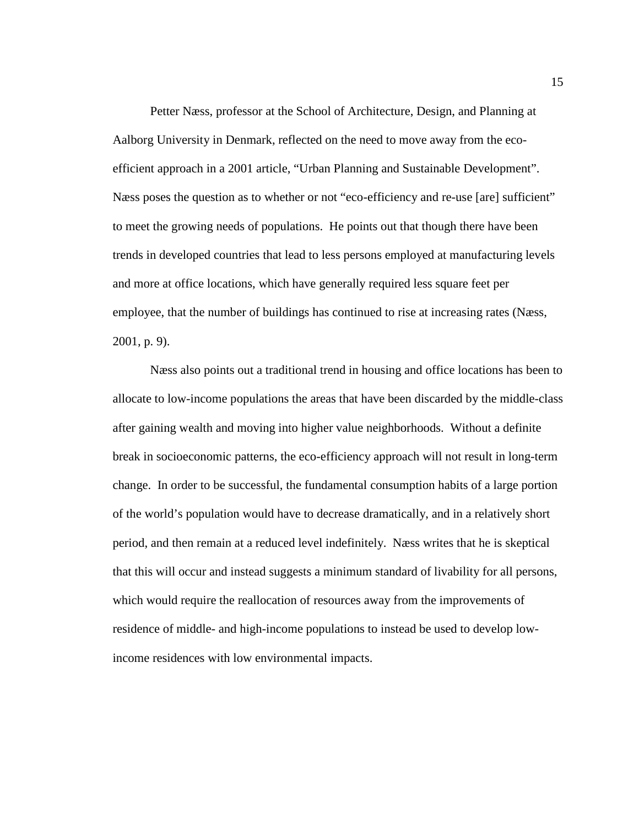Petter Næss, professor at the School of Architecture, Design, and Planning at Aalborg University in Denmark, reflected on the need to move away from the ecoefficient approach in a 2001 article, "Urban Planning and Sustainable Development". Næss poses the question as to whether or not "eco-efficiency and re-use [are] sufficient" to meet the growing needs of populations. He points out that though there have been trends in developed countries that lead to less persons employed at manufacturing levels and more at office locations, which have generally required less square feet per employee, that the number of buildings has continued to rise at increasing rates (Næss, 2001, p. 9).

Næss also points out a traditional trend in housing and office locations has been to allocate to low-income populations the areas that have been discarded by the middle-class after gaining wealth and moving into higher value neighborhoods. Without a definite break in socioeconomic patterns, the eco-efficiency approach will not result in long-term change. In order to be successful, the fundamental consumption habits of a large portion of the world's population would have to decrease dramatically, and in a relatively short period, and then remain at a reduced level indefinitely. Næss writes that he is skeptical that this will occur and instead suggests a minimum standard of livability for all persons, which would require the reallocation of resources away from the improvements of residence of middle- and high-income populations to instead be used to develop lowincome residences with low environmental impacts.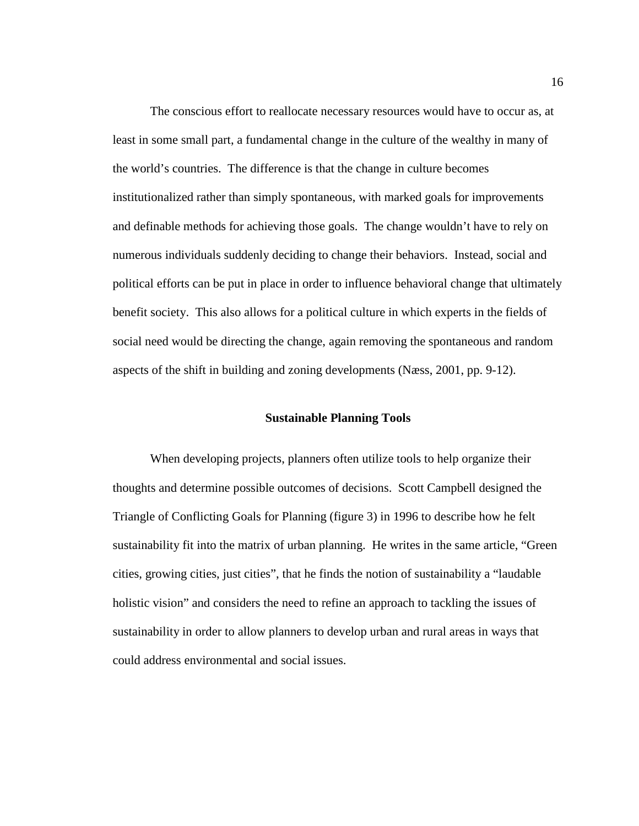The conscious effort to reallocate necessary resources would have to occur as, at least in some small part, a fundamental change in the culture of the wealthy in many of the world's countries. The difference is that the change in culture becomes institutionalized rather than simply spontaneous, with marked goals for improvements and definable methods for achieving those goals. The change wouldn't have to rely on numerous individuals suddenly deciding to change their behaviors. Instead, social and political efforts can be put in place in order to influence behavioral change that ultimately benefit society. This also allows for a political culture in which experts in the fields of social need would be directing the change, again removing the spontaneous and random aspects of the shift in building and zoning developments (Næss, 2001, pp. 9-12).

## **Sustainable Planning Tools**

<span id="page-21-0"></span>When developing projects, planners often utilize tools to help organize their thoughts and determine possible outcomes of decisions. Scott Campbell designed the Triangle of Conflicting Goals for Planning (figure 3) in 1996 to describe how he felt sustainability fit into the matrix of urban planning. He writes in the same article, "Green cities, growing cities, just cities", that he finds the notion of sustainability a "laudable holistic vision" and considers the need to refine an approach to tackling the issues of sustainability in order to allow planners to develop urban and rural areas in ways that could address environmental and social issues.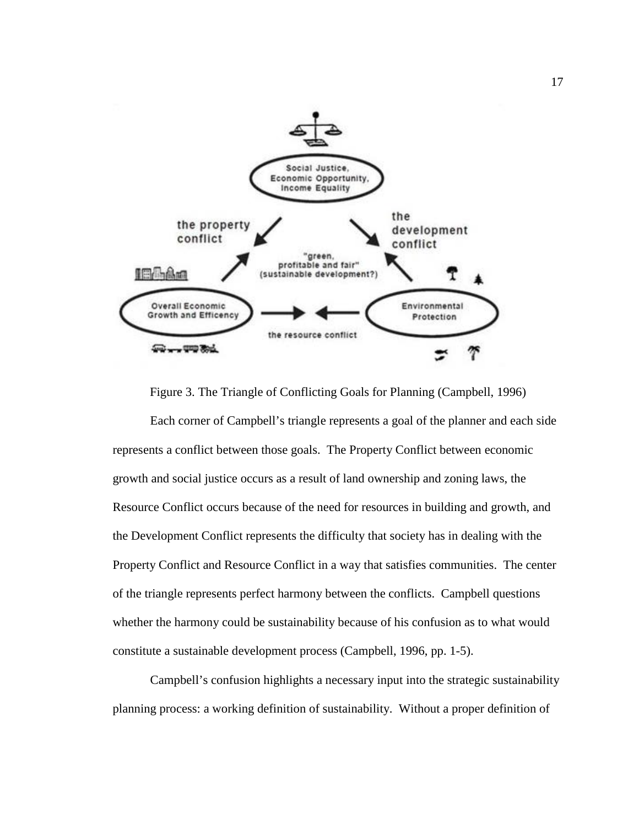

Figure 3. The Triangle of Conflicting Goals for Planning (Campbell, 1996)

<span id="page-22-0"></span>Each corner of Campbell's triangle represents a goal of the planner and each side represents a conflict between those goals.The Property Conflict between economic growth and social justice occurs as a result of land ownership and zoning laws, the Resource Conflict occurs because of the need for resources in building and growth, and the Development Conflict represents the difficulty that society has in dealing with the Property Conflict and Resource Conflict in a way that satisfies communities. The center of the triangle represents perfect harmony between the conflicts. Campbell questions whether the harmony could be sustainability because of his confusion as to what would constitute a sustainable development process (Campbell, 1996, pp. 1-5).

Campbell's confusion highlights a necessary input into the strategic sustainability planning process: a working definition of sustainability. Without a proper definition of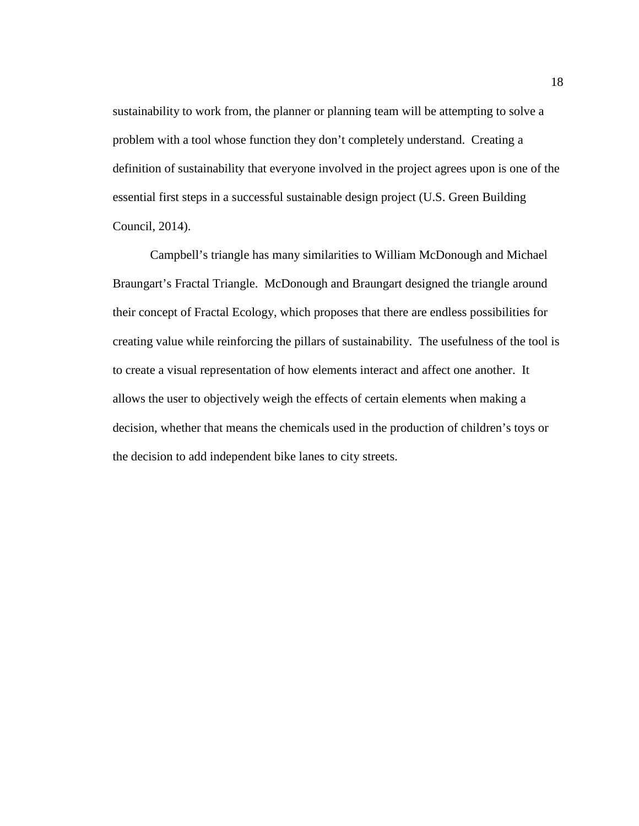sustainability to work from, the planner or planning team will be attempting to solve a problem with a tool whose function they don't completely understand. Creating a definition of sustainability that everyone involved in the project agrees upon is one of the essential first steps in a successful sustainable design project (U.S. Green Building Council, 2014).

Campbell's triangle has many similarities to William McDonough and Michael Braungart's Fractal Triangle. McDonough and Braungart designed the triangle around their concept of Fractal Ecology, which proposes that there are endless possibilities for creating value while reinforcing the pillars of sustainability. The usefulness of the tool is to create a visual representation of how elements interact and affect one another. It allows the user to objectively weigh the effects of certain elements when making a decision, whether that means the chemicals used in the production of children's toys or the decision to add independent bike lanes to city streets.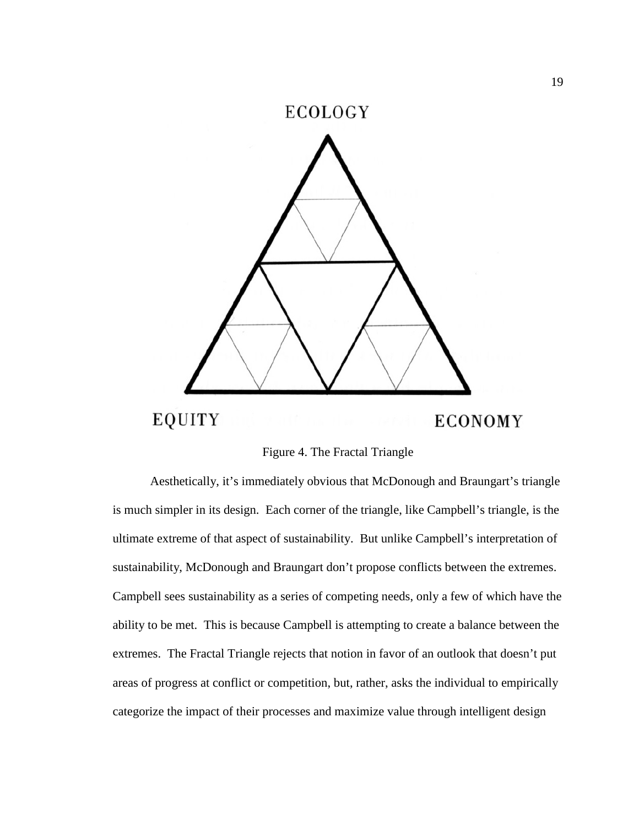

Figure 4. The Fractal Triangle

<span id="page-24-0"></span>Aesthetically, it's immediately obvious that McDonough and Braungart's triangle is much simpler in its design. Each corner of the triangle, like Campbell's triangle, is the ultimate extreme of that aspect of sustainability. But unlike Campbell's interpretation of sustainability, McDonough and Braungart don't propose conflicts between the extremes. Campbell sees sustainability as a series of competing needs, only a few of which have the ability to be met. This is because Campbell is attempting to create a balance between the extremes. The Fractal Triangle rejects that notion in favor of an outlook that doesn't put areas of progress at conflict or competition, but, rather, asks the individual to empirically categorize the impact of their processes and maximize value through intelligent design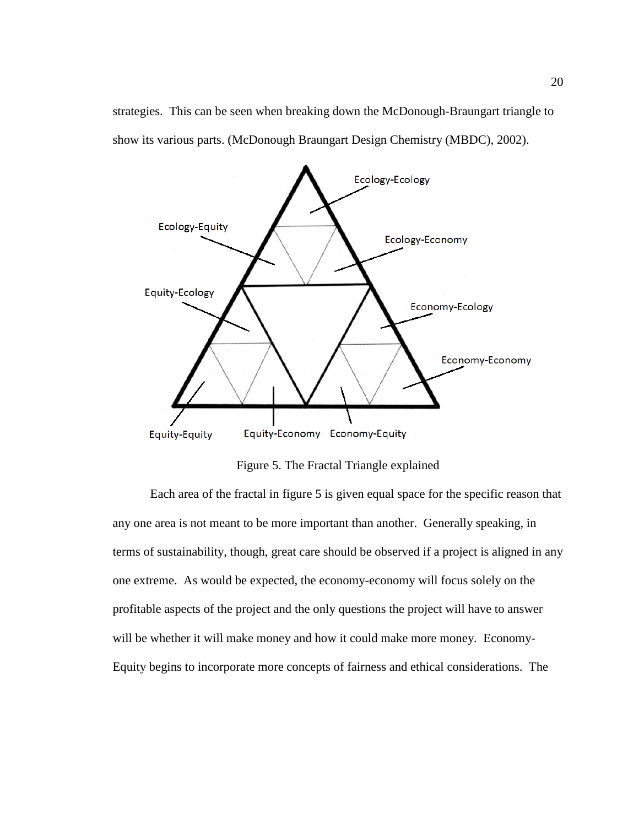strategies. This can be seen when breaking down the McDonough-Braungart triangle to show its various parts. (McDonough Braungart Design Chemistry (MBDC), 2002).



Figure 5. The Fractal Triangle explained

<span id="page-25-0"></span>Each area of the fractal in figure 5 is given equal space for the specific reason that any one area is not meant to be more important than another. Generally speaking, in terms of sustainability, though, great care should be observed if a project is aligned in any one extreme. As would be expected, the economy-economy will focus solely on the profitable aspects of the project and the only questions the project will have to answer will be whether it will make money and how it could make more money. Economy-Equity begins to incorporate more concepts of fairness and ethical considerations. The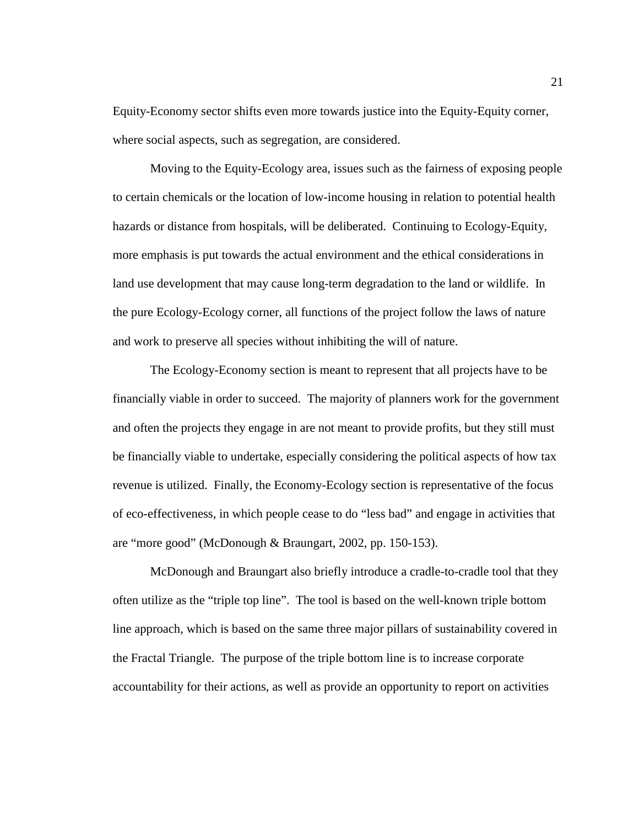Equity-Economy sector shifts even more towards justice into the Equity-Equity corner, where social aspects, such as segregation, are considered.

Moving to the Equity-Ecology area, issues such as the fairness of exposing people to certain chemicals or the location of low-income housing in relation to potential health hazards or distance from hospitals, will be deliberated. Continuing to Ecology-Equity, more emphasis is put towards the actual environment and the ethical considerations in land use development that may cause long-term degradation to the land or wildlife. In the pure Ecology-Ecology corner, all functions of the project follow the laws of nature and work to preserve all species without inhibiting the will of nature.

The Ecology-Economy section is meant to represent that all projects have to be financially viable in order to succeed. The majority of planners work for the government and often the projects they engage in are not meant to provide profits, but they still must be financially viable to undertake, especially considering the political aspects of how tax revenue is utilized. Finally, the Economy-Ecology section is representative of the focus of eco-effectiveness, in which people cease to do "less bad" and engage in activities that are "more good" (McDonough & Braungart, 2002, pp. 150-153).

McDonough and Braungart also briefly introduce a cradle-to-cradle tool that they often utilize as the "triple top line". The tool is based on the well-known triple bottom line approach, which is based on the same three major pillars of sustainability covered in the Fractal Triangle. The purpose of the triple bottom line is to increase corporate accountability for their actions, as well as provide an opportunity to report on activities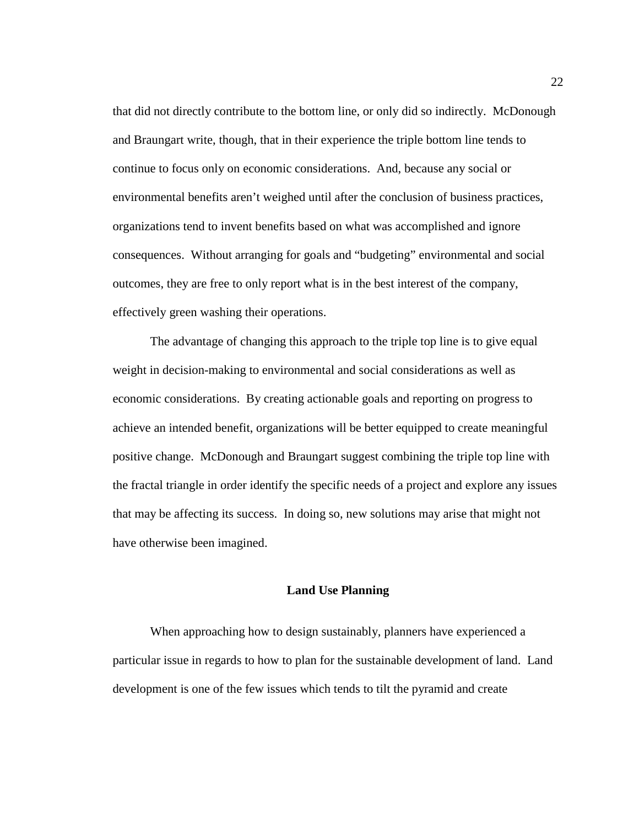that did not directly contribute to the bottom line, or only did so indirectly. McDonough and Braungart write, though, that in their experience the triple bottom line tends to continue to focus only on economic considerations. And, because any social or environmental benefits aren't weighed until after the conclusion of business practices, organizations tend to invent benefits based on what was accomplished and ignore consequences. Without arranging for goals and "budgeting" environmental and social outcomes, they are free to only report what is in the best interest of the company, effectively green washing their operations.

The advantage of changing this approach to the triple top line is to give equal weight in decision-making to environmental and social considerations as well as economic considerations. By creating actionable goals and reporting on progress to achieve an intended benefit, organizations will be better equipped to create meaningful positive change. McDonough and Braungart suggest combining the triple top line with the fractal triangle in order identify the specific needs of a project and explore any issues that may be affecting its success. In doing so, new solutions may arise that might not have otherwise been imagined.

## **Land Use Planning**

<span id="page-27-0"></span>When approaching how to design sustainably, planners have experienced a particular issue in regards to how to plan for the sustainable development of land. Land development is one of the few issues which tends to tilt the pyramid and create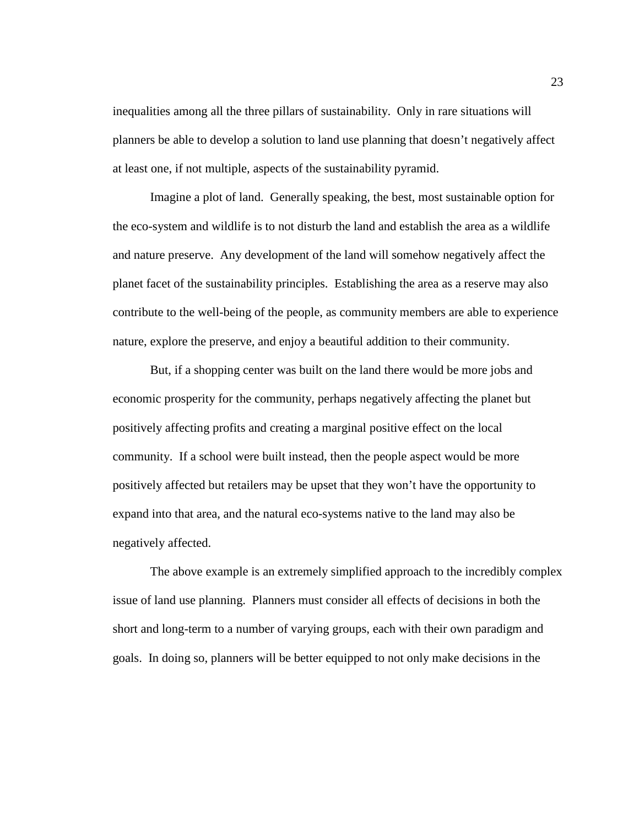inequalities among all the three pillars of sustainability. Only in rare situations will planners be able to develop a solution to land use planning that doesn't negatively affect at least one, if not multiple, aspects of the sustainability pyramid.

Imagine a plot of land. Generally speaking, the best, most sustainable option for the eco-system and wildlife is to not disturb the land and establish the area as a wildlife and nature preserve. Any development of the land will somehow negatively affect the planet facet of the sustainability principles. Establishing the area as a reserve may also contribute to the well-being of the people, as community members are able to experience nature, explore the preserve, and enjoy a beautiful addition to their community.

But, if a shopping center was built on the land there would be more jobs and economic prosperity for the community, perhaps negatively affecting the planet but positively affecting profits and creating a marginal positive effect on the local community. If a school were built instead, then the people aspect would be more positively affected but retailers may be upset that they won't have the opportunity to expand into that area, and the natural eco-systems native to the land may also be negatively affected.

The above example is an extremely simplified approach to the incredibly complex issue of land use planning. Planners must consider all effects of decisions in both the short and long-term to a number of varying groups, each with their own paradigm and goals. In doing so, planners will be better equipped to not only make decisions in the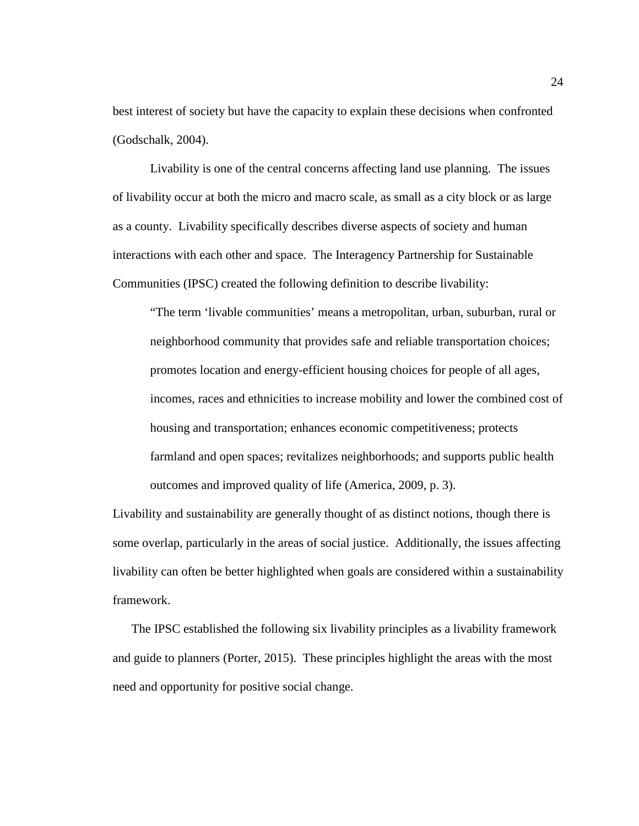best interest of society but have the capacity to explain these decisions when confronted (Godschalk, 2004).

Livability is one of the central concerns affecting land use planning. The issues of livability occur at both the micro and macro scale, as small as a city block or as large as a county. Livability specifically describes diverse aspects of society and human interactions with each other and space. The Interagency Partnership for Sustainable Communities (IPSC) created the following definition to describe livability:

"The term 'livable communities' means a metropolitan, urban, suburban, rural or neighborhood community that provides safe and reliable transportation choices; promotes location and energy-efficient housing choices for people of all ages, incomes, races and ethnicities to increase mobility and lower the combined cost of housing and transportation; enhances economic competitiveness; protects farmland and open spaces; revitalizes neighborhoods; and supports public health outcomes and improved quality of life (America, 2009, p. 3).

Livability and sustainability are generally thought of as distinct notions, though there is some overlap, particularly in the areas of social justice. Additionally, the issues affecting livability can often be better highlighted when goals are considered within a sustainability framework.

The IPSC established the following six livability principles as a livability framework and guide to planners (Porter, 2015). These principles highlight the areas with the most need and opportunity for positive social change.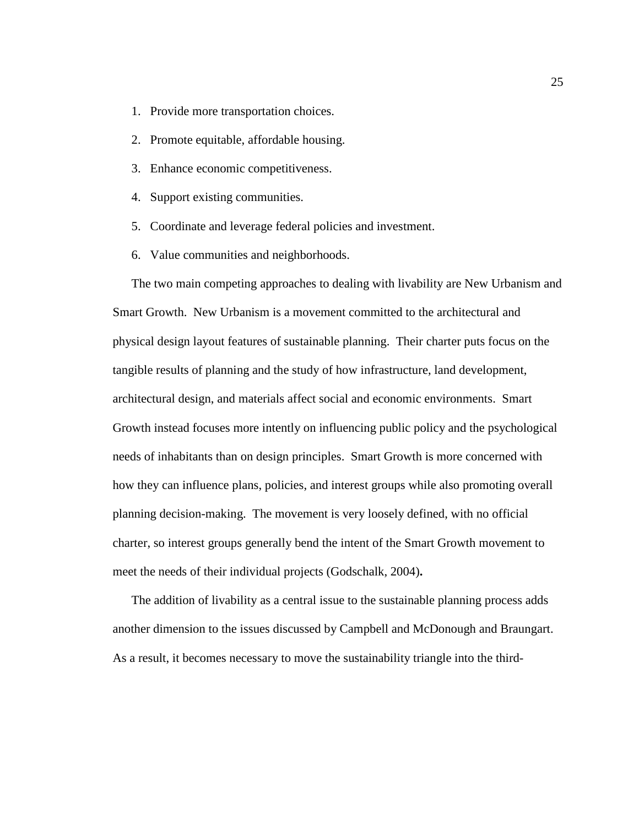- 1. Provide more transportation choices.
- 2. Promote equitable, affordable housing.
- 3. Enhance economic competitiveness.
- 4. Support existing communities.
- 5. Coordinate and leverage federal policies and investment.
- 6. Value communities and neighborhoods.

The two main competing approaches to dealing with livability are New Urbanism and Smart Growth. New Urbanism is a movement committed to the architectural and physical design layout features of sustainable planning. Their charter puts focus on the tangible results of planning and the study of how infrastructure, land development, architectural design, and materials affect social and economic environments. Smart Growth instead focuses more intently on influencing public policy and the psychological needs of inhabitants than on design principles. Smart Growth is more concerned with how they can influence plans, policies, and interest groups while also promoting overall planning decision-making. The movement is very loosely defined, with no official charter, so interest groups generally bend the intent of the Smart Growth movement to meet the needs of their individual projects (Godschalk, 2004)**.**

The addition of livability as a central issue to the sustainable planning process adds another dimension to the issues discussed by Campbell and McDonough and Braungart. As a result, it becomes necessary to move the sustainability triangle into the third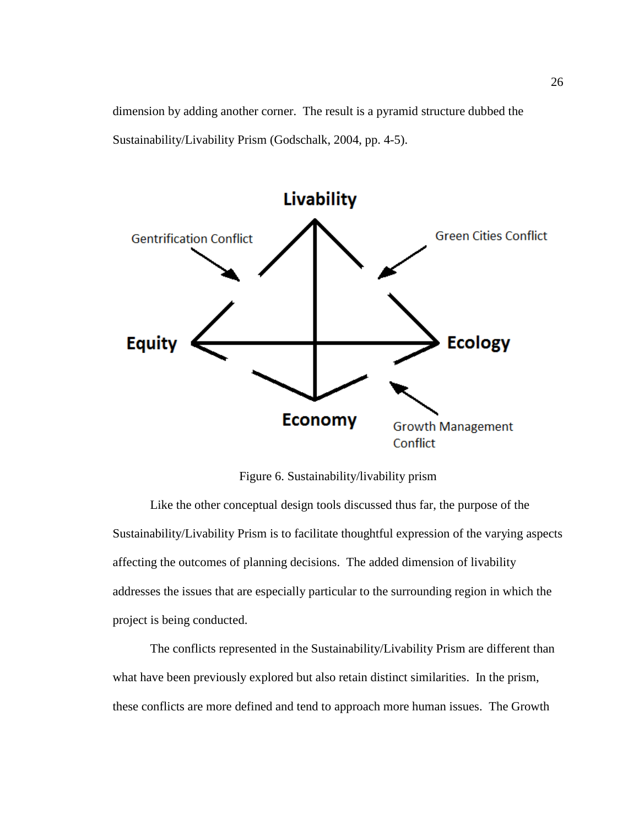dimension by adding another corner. The result is a pyramid structure dubbed the Sustainability/Livability Prism (Godschalk, 2004, pp. 4-5).



Figure 6. Sustainability/livability prism

<span id="page-31-0"></span>Like the other conceptual design tools discussed thus far, the purpose of the Sustainability/Livability Prism is to facilitate thoughtful expression of the varying aspects affecting the outcomes of planning decisions. The added dimension of livability addresses the issues that are especially particular to the surrounding region in which the project is being conducted.

The conflicts represented in the Sustainability/Livability Prism are different than what have been previously explored but also retain distinct similarities. In the prism, these conflicts are more defined and tend to approach more human issues. The Growth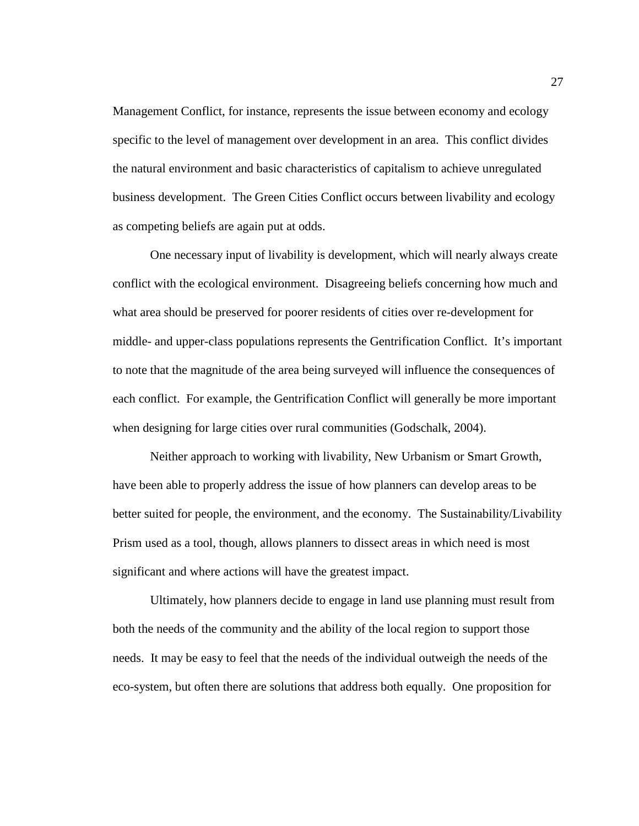Management Conflict, for instance, represents the issue between economy and ecology specific to the level of management over development in an area. This conflict divides the natural environment and basic characteristics of capitalism to achieve unregulated business development. The Green Cities Conflict occurs between livability and ecology as competing beliefs are again put at odds.

One necessary input of livability is development, which will nearly always create conflict with the ecological environment. Disagreeing beliefs concerning how much and what area should be preserved for poorer residents of cities over re-development for middle- and upper-class populations represents the Gentrification Conflict. It's important to note that the magnitude of the area being surveyed will influence the consequences of each conflict. For example, the Gentrification Conflict will generally be more important when designing for large cities over rural communities (Godschalk, 2004).

Neither approach to working with livability, New Urbanism or Smart Growth, have been able to properly address the issue of how planners can develop areas to be better suited for people, the environment, and the economy. The Sustainability/Livability Prism used as a tool, though, allows planners to dissect areas in which need is most significant and where actions will have the greatest impact.

Ultimately, how planners decide to engage in land use planning must result from both the needs of the community and the ability of the local region to support those needs. It may be easy to feel that the needs of the individual outweigh the needs of the eco-system, but often there are solutions that address both equally. One proposition for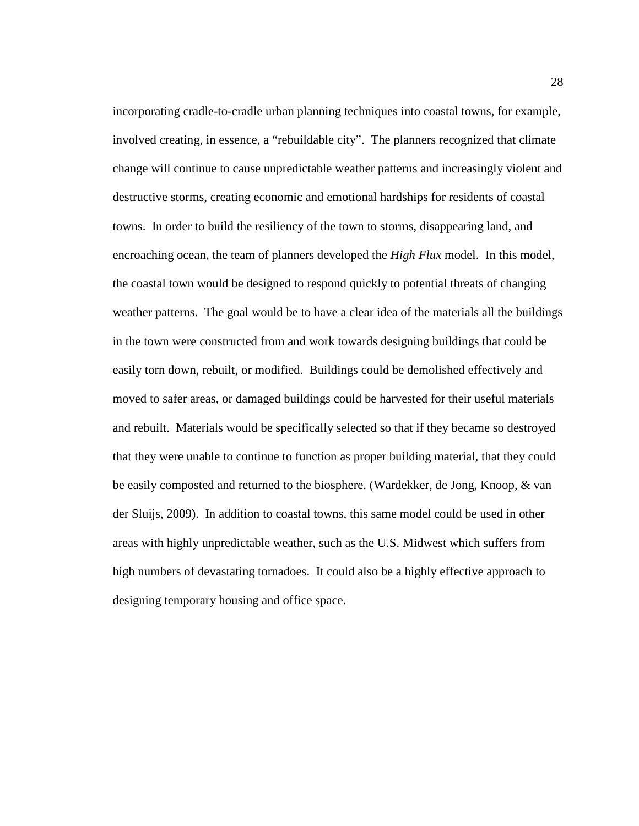incorporating cradle-to-cradle urban planning techniques into coastal towns, for example, involved creating, in essence, a "rebuildable city". The planners recognized that climate change will continue to cause unpredictable weather patterns and increasingly violent and destructive storms, creating economic and emotional hardships for residents of coastal towns. In order to build the resiliency of the town to storms, disappearing land, and encroaching ocean, the team of planners developed the *High Flux* model. In this model, the coastal town would be designed to respond quickly to potential threats of changing weather patterns. The goal would be to have a clear idea of the materials all the buildings in the town were constructed from and work towards designing buildings that could be easily torn down, rebuilt, or modified. Buildings could be demolished effectively and moved to safer areas, or damaged buildings could be harvested for their useful materials and rebuilt. Materials would be specifically selected so that if they became so destroyed that they were unable to continue to function as proper building material, that they could be easily composted and returned to the biosphere. (Wardekker, de Jong, Knoop, & van der Sluijs, 2009). In addition to coastal towns, this same model could be used in other areas with highly unpredictable weather, such as the U.S. Midwest which suffers from high numbers of devastating tornadoes. It could also be a highly effective approach to designing temporary housing and office space.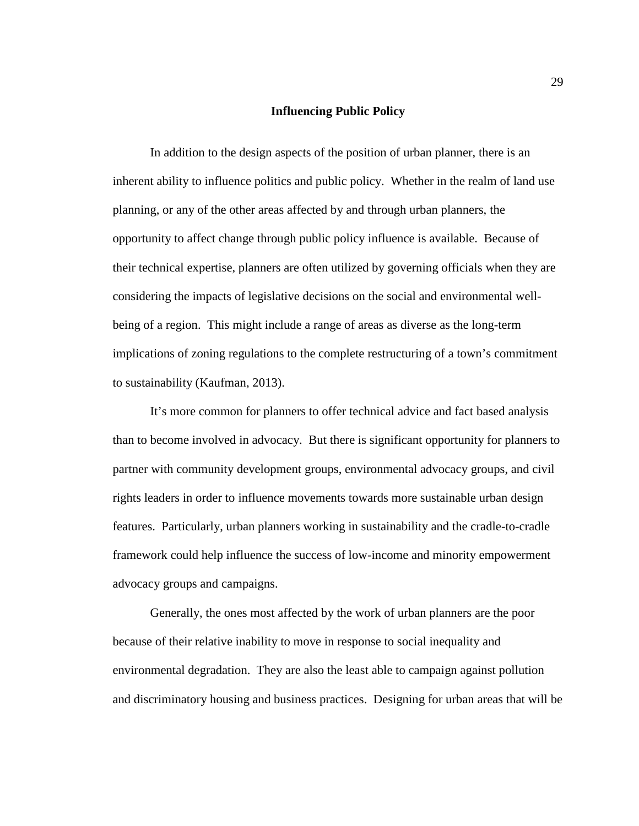## **Influencing Public Policy**

<span id="page-34-0"></span>In addition to the design aspects of the position of urban planner, there is an inherent ability to influence politics and public policy. Whether in the realm of land use planning, or any of the other areas affected by and through urban planners, the opportunity to affect change through public policy influence is available. Because of their technical expertise, planners are often utilized by governing officials when they are considering the impacts of legislative decisions on the social and environmental wellbeing of a region. This might include a range of areas as diverse as the long-term implications of zoning regulations to the complete restructuring of a town's commitment to sustainability (Kaufman, 2013).

It's more common for planners to offer technical advice and fact based analysis than to become involved in advocacy. But there is significant opportunity for planners to partner with community development groups, environmental advocacy groups, and civil rights leaders in order to influence movements towards more sustainable urban design features. Particularly, urban planners working in sustainability and the cradle-to-cradle framework could help influence the success of low-income and minority empowerment advocacy groups and campaigns.

Generally, the ones most affected by the work of urban planners are the poor because of their relative inability to move in response to social inequality and environmental degradation. They are also the least able to campaign against pollution and discriminatory housing and business practices. Designing for urban areas that will be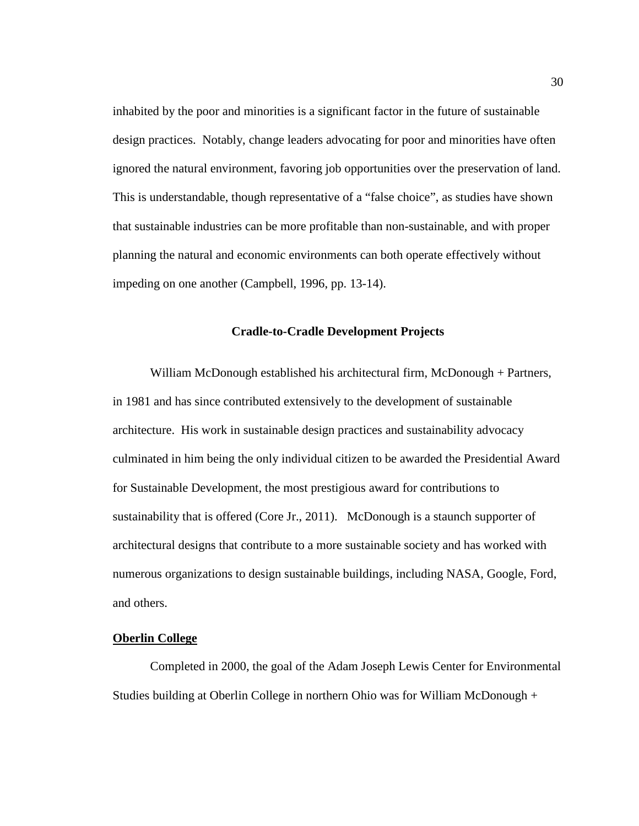inhabited by the poor and minorities is a significant factor in the future of sustainable design practices. Notably, change leaders advocating for poor and minorities have often ignored the natural environment, favoring job opportunities over the preservation of land. This is understandable, though representative of a "false choice", as studies have shown that sustainable industries can be more profitable than non-sustainable, and with proper planning the natural and economic environments can both operate effectively without impeding on one another (Campbell, 1996, pp. 13-14).

## **Cradle-to-Cradle Development Projects**

<span id="page-35-0"></span>William McDonough established his architectural firm, McDonough + Partners, in 1981 and has since contributed extensively to the development of sustainable architecture. His work in sustainable design practices and sustainability advocacy culminated in him being the only individual citizen to be awarded the Presidential Award for Sustainable Development, the most prestigious award for contributions to sustainability that is offered (Core Jr., 2011). McDonough is a staunch supporter of architectural designs that contribute to a more sustainable society and has worked with numerous organizations to design sustainable buildings, including NASA, Google, Ford, and others.

## <span id="page-35-1"></span>**Oberlin College**

Completed in 2000, the goal of the Adam Joseph Lewis Center for Environmental Studies building at Oberlin College in northern Ohio was for William McDonough +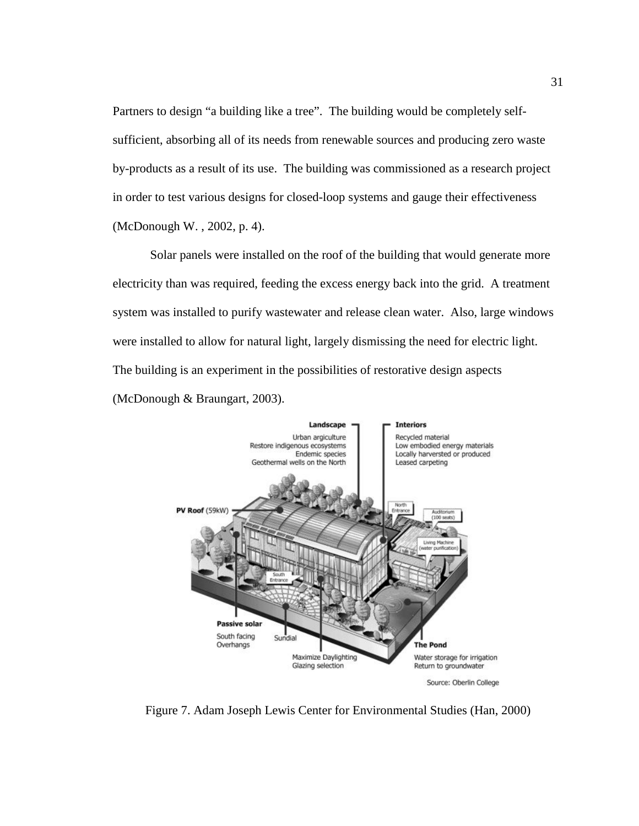Partners to design "a building like a tree". The building would be completely selfsufficient, absorbing all of its needs from renewable sources and producing zero waste by-products as a result of its use. The building was commissioned as a research project in order to test various designs for closed-loop systems and gauge their effectiveness (McDonough W. , 2002, p. 4).

Solar panels were installed on the roof of the building that would generate more electricity than was required, feeding the excess energy back into the grid. A treatment system was installed to purify wastewater and release clean water. Also, large windows were installed to allow for natural light, largely dismissing the need for electric light. The building is an experiment in the possibilities of restorative design aspects (McDonough & Braungart, 2003).



<span id="page-36-0"></span>Figure 7. Adam Joseph Lewis Center for Environmental Studies (Han, 2000)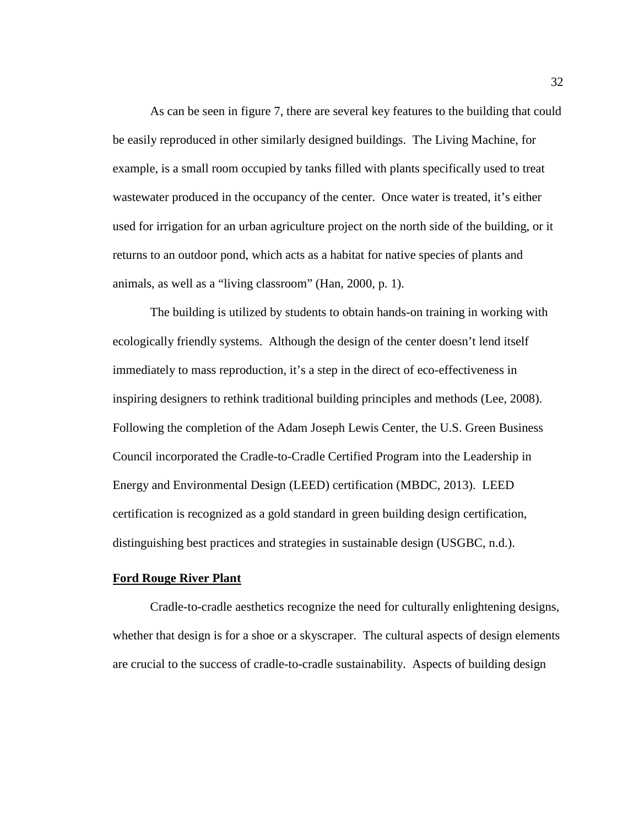As can be seen in figure 7, there are several key features to the building that could be easily reproduced in other similarly designed buildings. The Living Machine, for example, is a small room occupied by tanks filled with plants specifically used to treat wastewater produced in the occupancy of the center. Once water is treated, it's either used for irrigation for an urban agriculture project on the north side of the building, or it returns to an outdoor pond, which acts as a habitat for native species of plants and animals, as well as a "living classroom" (Han, 2000, p. 1).

The building is utilized by students to obtain hands-on training in working with ecologically friendly systems. Although the design of the center doesn't lend itself immediately to mass reproduction, it's a step in the direct of eco-effectiveness in inspiring designers to rethink traditional building principles and methods (Lee, 2008). Following the completion of the Adam Joseph Lewis Center, the U.S. Green Business Council incorporated the Cradle-to-Cradle Certified Program into the Leadership in Energy and Environmental Design (LEED) certification (MBDC, 2013). LEED certification is recognized as a gold standard in green building design certification, distinguishing best practices and strategies in sustainable design (USGBC, n.d.).

#### <span id="page-37-0"></span>**Ford Rouge River Plant**

Cradle-to-cradle aesthetics recognize the need for culturally enlightening designs, whether that design is for a shoe or a skyscraper. The cultural aspects of design elements are crucial to the success of cradle-to-cradle sustainability. Aspects of building design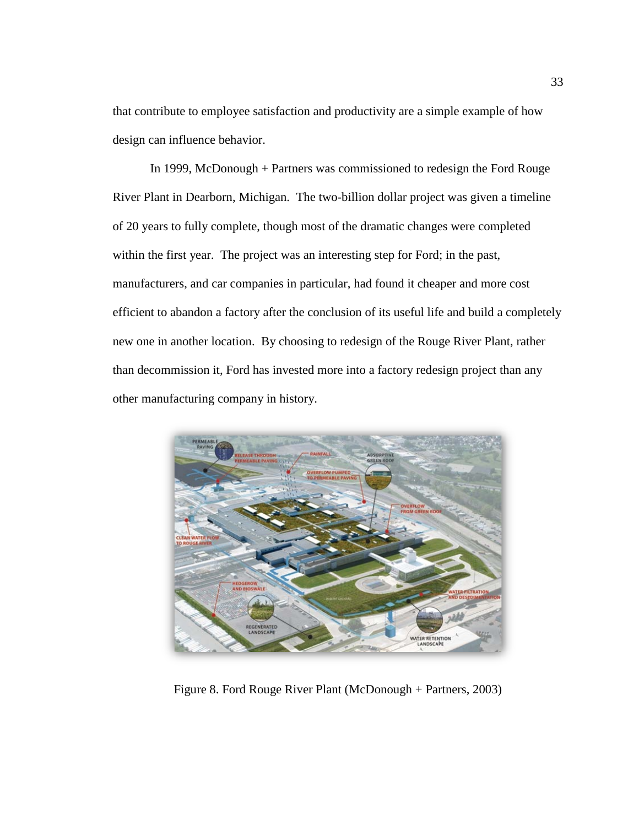that contribute to employee satisfaction and productivity are a simple example of how design can influence behavior.

In 1999, McDonough + Partners was commissioned to redesign the Ford Rouge River Plant in Dearborn, Michigan. The two-billion dollar project was given a timeline of 20 years to fully complete, though most of the dramatic changes were completed within the first year. The project was an interesting step for Ford; in the past, manufacturers, and car companies in particular, had found it cheaper and more cost efficient to abandon a factory after the conclusion of its useful life and build a completely new one in another location. By choosing to redesign of the Rouge River Plant, rather than decommission it, Ford has invested more into a factory redesign project than any other manufacturing company in history.

<span id="page-38-0"></span>

Figure 8. Ford Rouge River Plant (McDonough + Partners, 2003)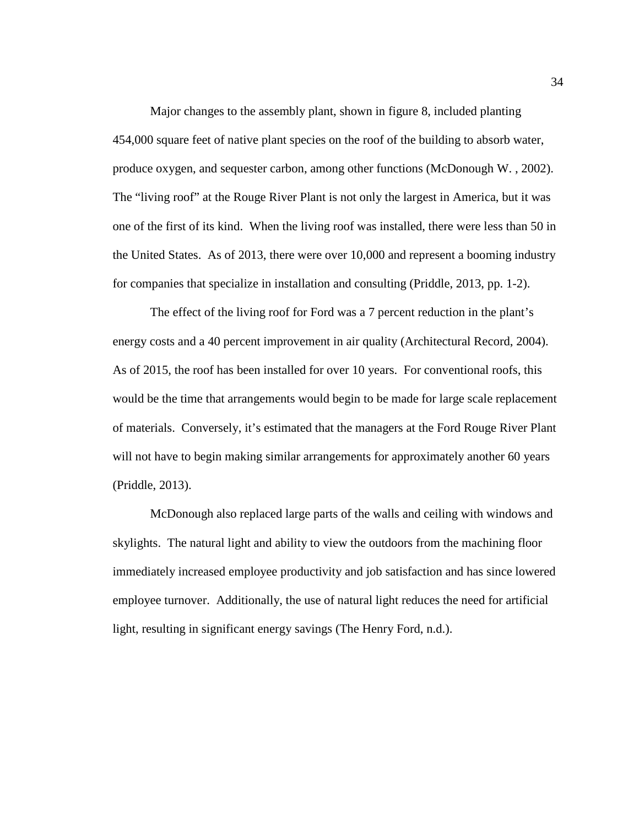Major changes to the assembly plant, shown in figure 8, included planting 454,000 square feet of native plant species on the roof of the building to absorb water, produce oxygen, and sequester carbon, among other functions (McDonough W. , 2002). The "living roof" at the Rouge River Plant is not only the largest in America, but it was one of the first of its kind. When the living roof was installed, there were less than 50 in the United States. As of 2013, there were over 10,000 and represent a booming industry for companies that specialize in installation and consulting (Priddle, 2013, pp. 1-2).

The effect of the living roof for Ford was a 7 percent reduction in the plant's energy costs and a 40 percent improvement in air quality (Architectural Record, 2004). As of 2015, the roof has been installed for over 10 years. For conventional roofs, this would be the time that arrangements would begin to be made for large scale replacement of materials. Conversely, it's estimated that the managers at the Ford Rouge River Plant will not have to begin making similar arrangements for approximately another 60 years (Priddle, 2013).

McDonough also replaced large parts of the walls and ceiling with windows and skylights. The natural light and ability to view the outdoors from the machining floor immediately increased employee productivity and job satisfaction and has since lowered employee turnover. Additionally, the use of natural light reduces the need for artificial light, resulting in significant energy savings (The Henry Ford, n.d.).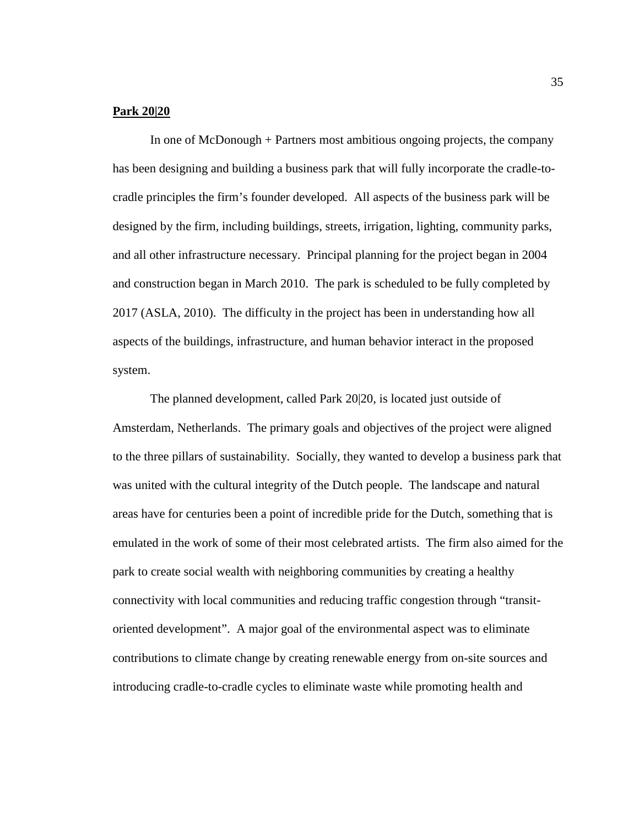## <span id="page-40-0"></span>**Park 20|20**

In one of McDonough + Partners most ambitious ongoing projects, the company has been designing and building a business park that will fully incorporate the cradle-tocradle principles the firm's founder developed. All aspects of the business park will be designed by the firm, including buildings, streets, irrigation, lighting, community parks, and all other infrastructure necessary. Principal planning for the project began in 2004 and construction began in March 2010. The park is scheduled to be fully completed by 2017 (ASLA, 2010). The difficulty in the project has been in understanding how all aspects of the buildings, infrastructure, and human behavior interact in the proposed system.

The planned development, called Park 20|20, is located just outside of Amsterdam, Netherlands.The primary goals and objectives of the project were aligned to the three pillars of sustainability. Socially, they wanted to develop a business park that was united with the cultural integrity of the Dutch people. The landscape and natural areas have for centuries been a point of incredible pride for the Dutch, something that is emulated in the work of some of their most celebrated artists. The firm also aimed for the park to create social wealth with neighboring communities by creating a healthy connectivity with local communities and reducing traffic congestion through "transitoriented development". A major goal of the environmental aspect was to eliminate contributions to climate change by creating renewable energy from on-site sources and introducing cradle-to-cradle cycles to eliminate waste while promoting health and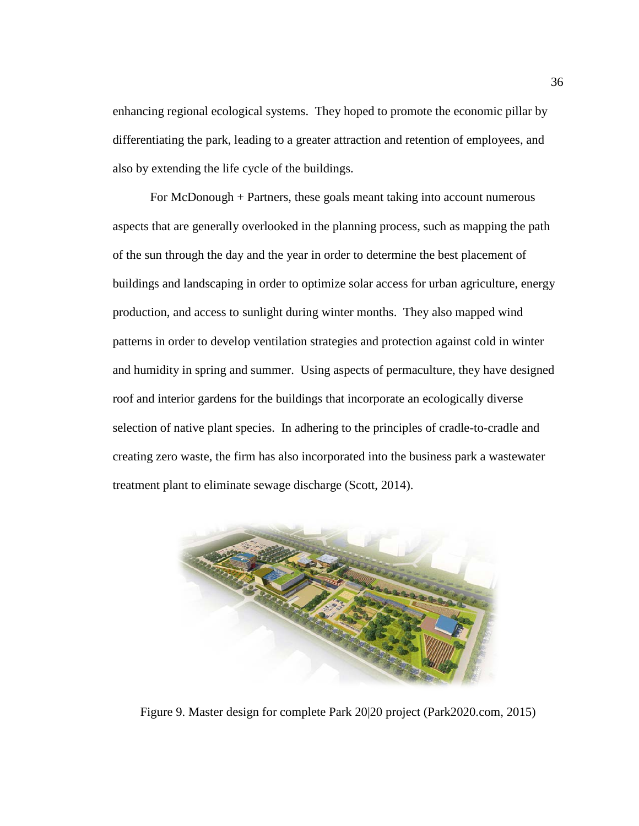enhancing regional ecological systems. They hoped to promote the economic pillar by differentiating the park, leading to a greater attraction and retention of employees, and also by extending the life cycle of the buildings.

For McDonough + Partners, these goals meant taking into account numerous aspects that are generally overlooked in the planning process, such as mapping the path of the sun through the day and the year in order to determine the best placement of buildings and landscaping in order to optimize solar access for urban agriculture, energy production, and access to sunlight during winter months. They also mapped wind patterns in order to develop ventilation strategies and protection against cold in winter and humidity in spring and summer. Using aspects of permaculture, they have designed roof and interior gardens for the buildings that incorporate an ecologically diverse selection of native plant species. In adhering to the principles of cradle-to-cradle and creating zero waste, the firm has also incorporated into the business park a wastewater treatment plant to eliminate sewage discharge (Scott, 2014).

<span id="page-41-0"></span>

Figure 9. Master design for complete Park 20|20 project (Park2020.com, 2015)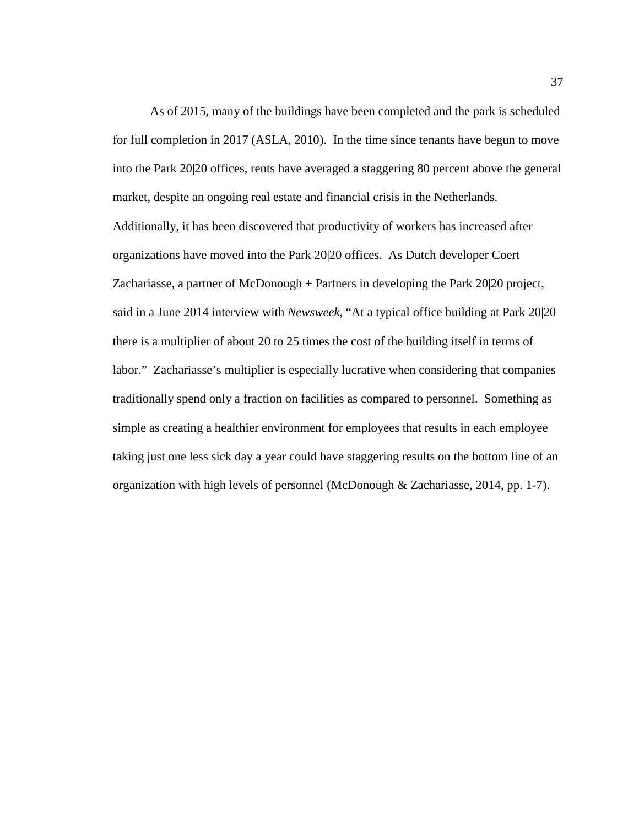As of 2015, many of the buildings have been completed and the park is scheduled for full completion in 2017 (ASLA, 2010). In the time since tenants have begun to move into the Park 20|20 offices, rents have averaged a staggering 80 percent above the general market, despite an ongoing real estate and financial crisis in the Netherlands. Additionally, it has been discovered that productivity of workers has increased after organizations have moved into the Park 20|20 offices. As Dutch developer Coert Zachariasse, a partner of McDonough + Partners in developing the Park 20|20 project, said in a June 2014 interview with *Newsweek*, "At a typical office building at Park 20|20 there is a multiplier of about 20 to 25 times the cost of the building itself in terms of labor." Zachariasse's multiplier is especially lucrative when considering that companies traditionally spend only a fraction on facilities as compared to personnel. Something as simple as creating a healthier environment for employees that results in each employee taking just one less sick day a year could have staggering results on the bottom line of an organization with high levels of personnel (McDonough & Zachariasse, 2014, pp. 1-7).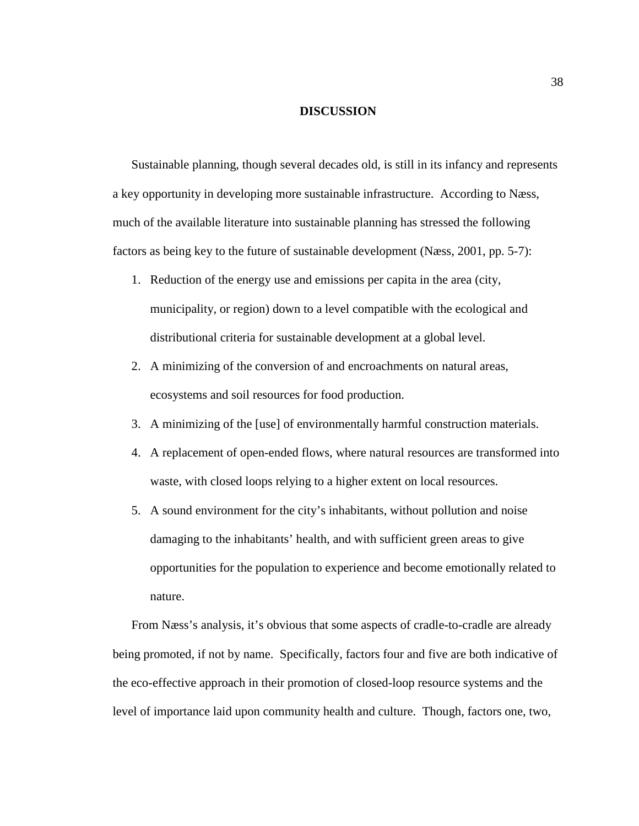### **DISCUSSION**

<span id="page-43-0"></span>Sustainable planning, though several decades old, is still in its infancy and represents a key opportunity in developing more sustainable infrastructure. According to Næss, much of the available literature into sustainable planning has stressed the following factors as being key to the future of sustainable development (Næss, 2001, pp. 5-7):

- 1. Reduction of the energy use and emissions per capita in the area (city, municipality, or region) down to a level compatible with the ecological and distributional criteria for sustainable development at a global level.
- 2. A minimizing of the conversion of and encroachments on natural areas, ecosystems and soil resources for food production.
- 3. A minimizing of the [use] of environmentally harmful construction materials.
- 4. A replacement of open-ended flows, where natural resources are transformed into waste, with closed loops relying to a higher extent on local resources.
- 5. A sound environment for the city's inhabitants, without pollution and noise damaging to the inhabitants' health, and with sufficient green areas to give opportunities for the population to experience and become emotionally related to nature.

From Næss's analysis, it's obvious that some aspects of cradle-to-cradle are already being promoted, if not by name. Specifically, factors four and five are both indicative of the eco-effective approach in their promotion of closed-loop resource systems and the level of importance laid upon community health and culture. Though, factors one, two,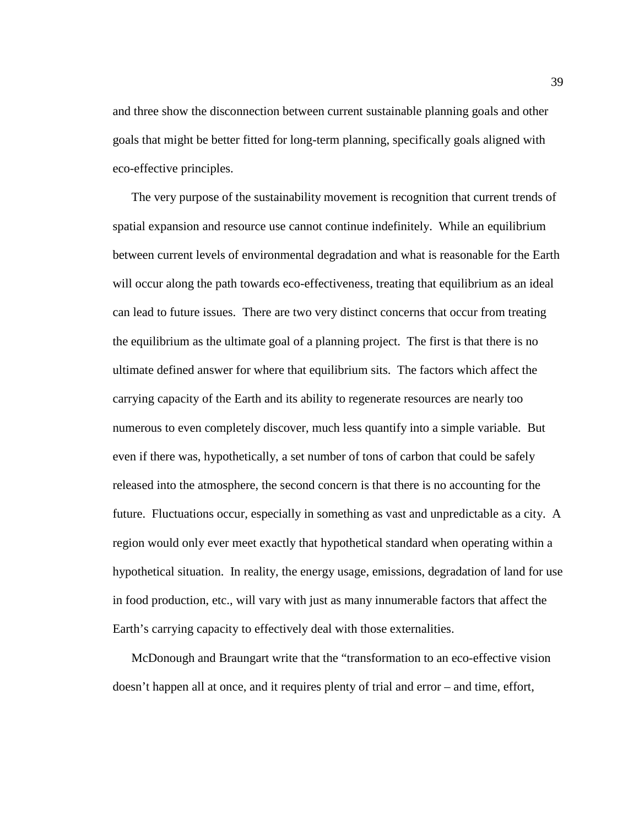and three show the disconnection between current sustainable planning goals and other goals that might be better fitted for long-term planning, specifically goals aligned with eco-effective principles.

The very purpose of the sustainability movement is recognition that current trends of spatial expansion and resource use cannot continue indefinitely. While an equilibrium between current levels of environmental degradation and what is reasonable for the Earth will occur along the path towards eco-effectiveness, treating that equilibrium as an ideal can lead to future issues. There are two very distinct concerns that occur from treating the equilibrium as the ultimate goal of a planning project. The first is that there is no ultimate defined answer for where that equilibrium sits. The factors which affect the carrying capacity of the Earth and its ability to regenerate resources are nearly too numerous to even completely discover, much less quantify into a simple variable. But even if there was, hypothetically, a set number of tons of carbon that could be safely released into the atmosphere, the second concern is that there is no accounting for the future. Fluctuations occur, especially in something as vast and unpredictable as a city. A region would only ever meet exactly that hypothetical standard when operating within a hypothetical situation. In reality, the energy usage, emissions, degradation of land for use in food production, etc., will vary with just as many innumerable factors that affect the Earth's carrying capacity to effectively deal with those externalities.

McDonough and Braungart write that the "transformation to an eco-effective vision doesn't happen all at once, and it requires plenty of trial and error – and time, effort,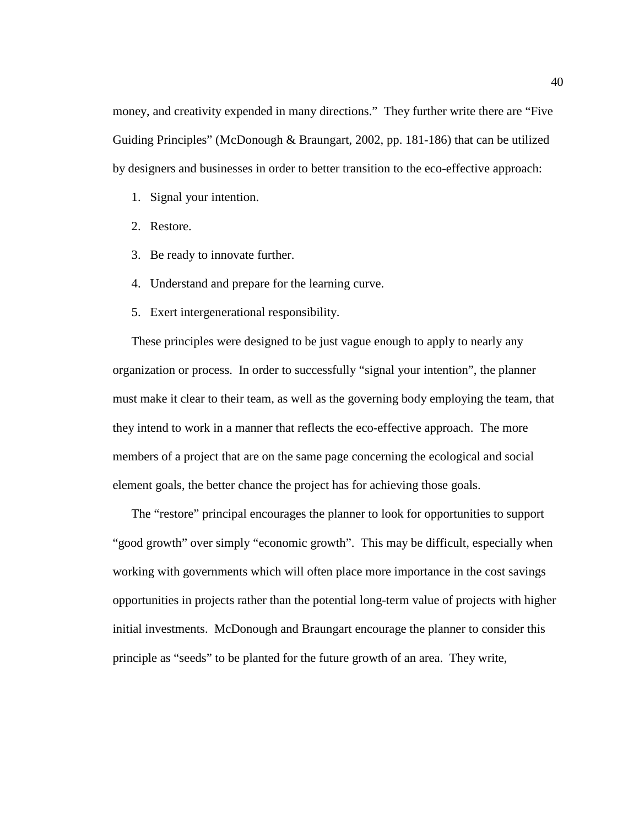money, and creativity expended in many directions." They further write there are "Five Guiding Principles" (McDonough & Braungart, 2002, pp. 181-186) that can be utilized by designers and businesses in order to better transition to the eco-effective approach:

- 1. Signal your intention.
- 2. Restore.
- 3. Be ready to innovate further.
- 4. Understand and prepare for the learning curve.
- 5. Exert intergenerational responsibility.

These principles were designed to be just vague enough to apply to nearly any organization or process. In order to successfully "signal your intention", the planner must make it clear to their team, as well as the governing body employing the team, that they intend to work in a manner that reflects the eco-effective approach. The more members of a project that are on the same page concerning the ecological and social element goals, the better chance the project has for achieving those goals.

The "restore" principal encourages the planner to look for opportunities to support "good growth" over simply "economic growth". This may be difficult, especially when working with governments which will often place more importance in the cost savings opportunities in projects rather than the potential long-term value of projects with higher initial investments. McDonough and Braungart encourage the planner to consider this principle as "seeds" to be planted for the future growth of an area. They write,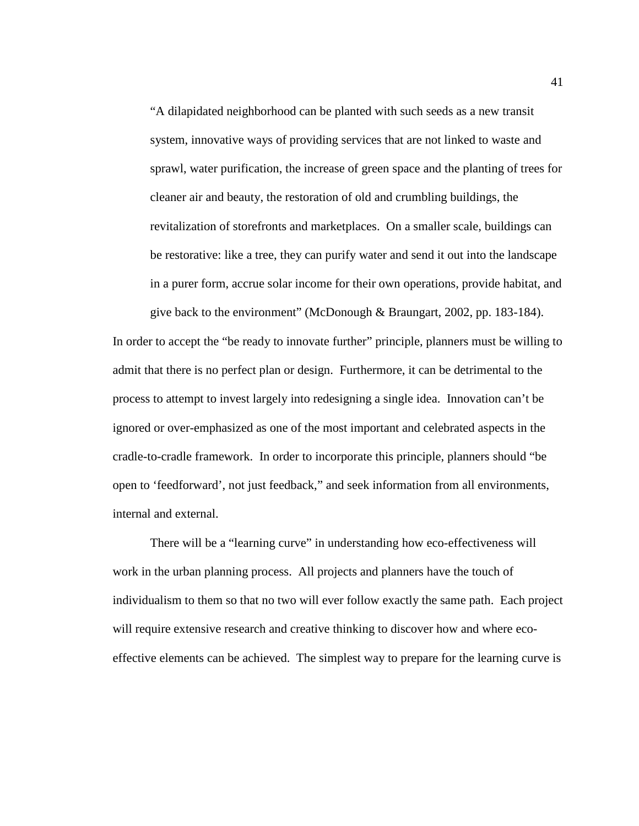"A dilapidated neighborhood can be planted with such seeds as a new transit system, innovative ways of providing services that are not linked to waste and sprawl, water purification, the increase of green space and the planting of trees for cleaner air and beauty, the restoration of old and crumbling buildings, the revitalization of storefronts and marketplaces. On a smaller scale, buildings can be restorative: like a tree, they can purify water and send it out into the landscape in a purer form, accrue solar income for their own operations, provide habitat, and

give back to the environment" (McDonough & Braungart, 2002, pp. 183-184). In order to accept the "be ready to innovate further" principle, planners must be willing to admit that there is no perfect plan or design. Furthermore, it can be detrimental to the process to attempt to invest largely into redesigning a single idea. Innovation can't be ignored or over-emphasized as one of the most important and celebrated aspects in the cradle-to-cradle framework. In order to incorporate this principle, planners should "be open to 'feedforward', not just feedback," and seek information from all environments, internal and external.

There will be a "learning curve" in understanding how eco-effectiveness will work in the urban planning process. All projects and planners have the touch of individualism to them so that no two will ever follow exactly the same path. Each project will require extensive research and creative thinking to discover how and where ecoeffective elements can be achieved. The simplest way to prepare for the learning curve is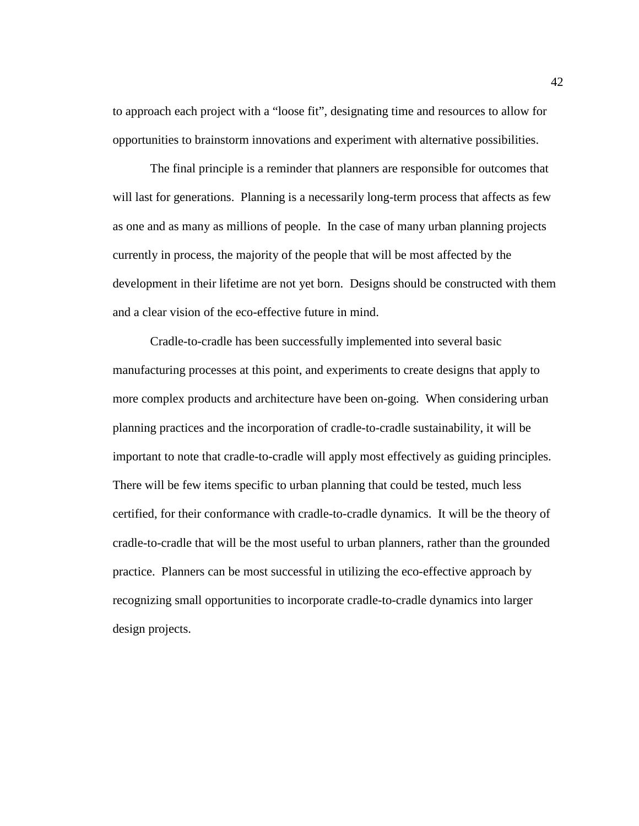to approach each project with a "loose fit", designating time and resources to allow for opportunities to brainstorm innovations and experiment with alternative possibilities.

The final principle is a reminder that planners are responsible for outcomes that will last for generations. Planning is a necessarily long-term process that affects as few as one and as many as millions of people. In the case of many urban planning projects currently in process, the majority of the people that will be most affected by the development in their lifetime are not yet born. Designs should be constructed with them and a clear vision of the eco-effective future in mind.

Cradle-to-cradle has been successfully implemented into several basic manufacturing processes at this point, and experiments to create designs that apply to more complex products and architecture have been on-going. When considering urban planning practices and the incorporation of cradle-to-cradle sustainability, it will be important to note that cradle-to-cradle will apply most effectively as guiding principles. There will be few items specific to urban planning that could be tested, much less certified, for their conformance with cradle-to-cradle dynamics. It will be the theory of cradle-to-cradle that will be the most useful to urban planners, rather than the grounded practice. Planners can be most successful in utilizing the eco-effective approach by recognizing small opportunities to incorporate cradle-to-cradle dynamics into larger design projects.

42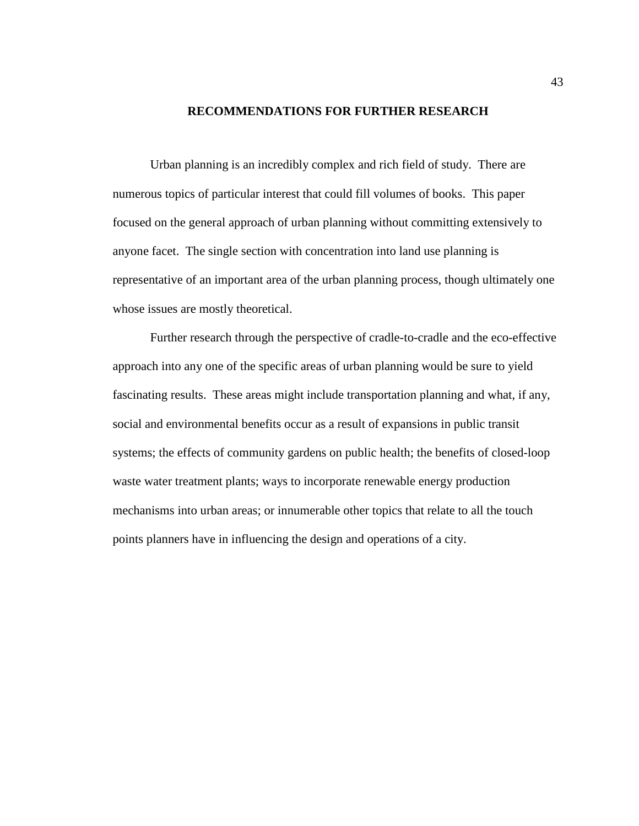## **RECOMMENDATIONS FOR FURTHER RESEARCH**

<span id="page-48-0"></span>Urban planning is an incredibly complex and rich field of study. There are numerous topics of particular interest that could fill volumes of books. This paper focused on the general approach of urban planning without committing extensively to anyone facet. The single section with concentration into land use planning is representative of an important area of the urban planning process, though ultimately one whose issues are mostly theoretical.

Further research through the perspective of cradle-to-cradle and the eco-effective approach into any one of the specific areas of urban planning would be sure to yield fascinating results. These areas might include transportation planning and what, if any, social and environmental benefits occur as a result of expansions in public transit systems; the effects of community gardens on public health; the benefits of closed-loop waste water treatment plants; ways to incorporate renewable energy production mechanisms into urban areas; or innumerable other topics that relate to all the touch points planners have in influencing the design and operations of a city.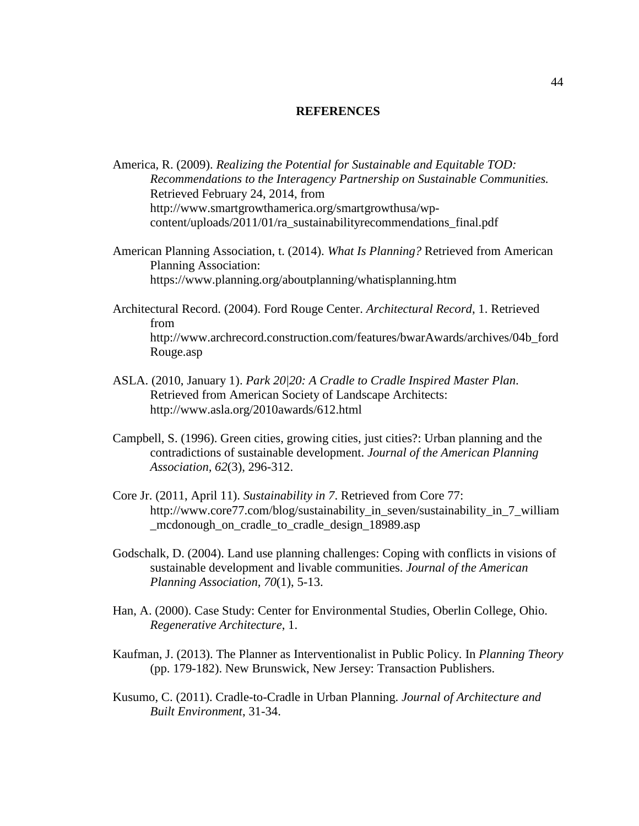## **REFERENCES**

- <span id="page-49-0"></span>America, R. (2009). *Realizing the Potential for Sustainable and Equitable TOD: Recommendations to the Interagency Partnership on Sustainable Communities.* Retrieved February 24, 2014, from http://www.smartgrowthamerica.org/smartgrowthusa/wpcontent/uploads/2011/01/ra\_sustainabilityrecommendations\_final.pdf
- American Planning Association, t. (2014). *What Is Planning?* Retrieved from American Planning Association: https://www.planning.org/aboutplanning/whatisplanning.htm
- Architectural Record. (2004). Ford Rouge Center. *Architectural Record*, 1. Retrieved from http://www.archrecord.construction.com/features/bwarAwards/archives/04b\_ford Rouge.asp
- ASLA. (2010, January 1). *Park 20|20: A Cradle to Cradle Inspired Master Plan*. Retrieved from American Society of Landscape Architects: http://www.asla.org/2010awards/612.html
- Campbell, S. (1996). Green cities, growing cities, just cities?: Urban planning and the contradictions of sustainable development. *Journal of the American Planning Association, 62*(3), 296-312.
- Core Jr. (2011, April 11). *Sustainability in 7*. Retrieved from Core 77: http://www.core77.com/blog/sustainability\_in\_seven/sustainability\_in\_7\_william \_mcdonough\_on\_cradle\_to\_cradle\_design\_18989.asp
- Godschalk, D. (2004). Land use planning challenges: Coping with conflicts in visions of sustainable development and livable communities. *Journal of the American Planning Association, 70*(1), 5-13.
- Han, A. (2000). Case Study: Center for Environmental Studies, Oberlin College, Ohio. *Regenerative Architecture*, 1.
- Kaufman, J. (2013). The Planner as Interventionalist in Public Policy. In *Planning Theory* (pp. 179-182). New Brunswick, New Jersey: Transaction Publishers.
- Kusumo, C. (2011). Cradle-to-Cradle in Urban Planning. *Journal of Architecture and Built Environment*, 31-34.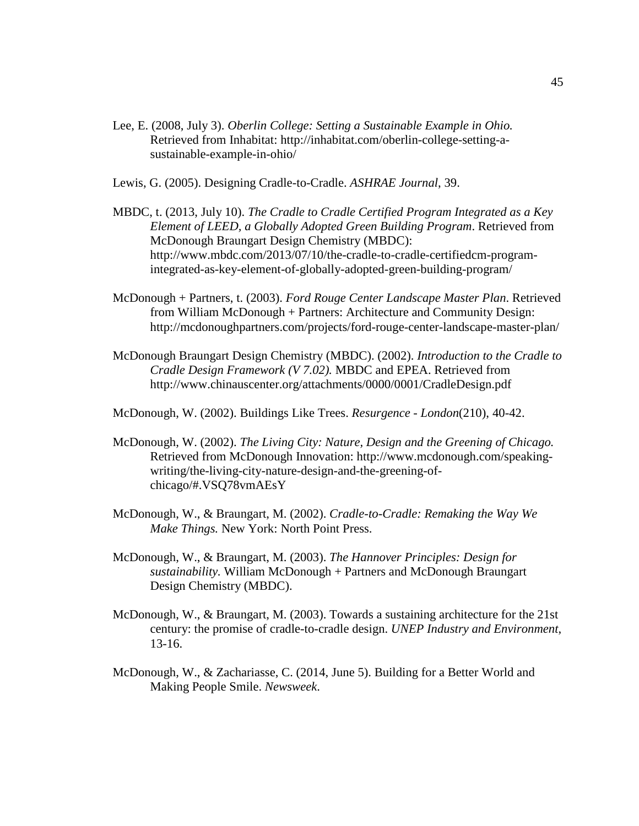- Lee, E. (2008, July 3). *Oberlin College: Setting a Sustainable Example in Ohio.* Retrieved from Inhabitat: http://inhabitat.com/oberlin-college-setting-asustainable-example-in-ohio/
- Lewis, G. (2005). Designing Cradle-to-Cradle. *ASHRAE Journal*, 39.
- MBDC, t. (2013, July 10). *The Cradle to Cradle Certified Program Integrated as a Key Element of LEED, a Globally Adopted Green Building Program*. Retrieved from McDonough Braungart Design Chemistry (MBDC): http://www.mbdc.com/2013/07/10/the-cradle-to-cradle-certifiedcm-programintegrated-as-key-element-of-globally-adopted-green-building-program/
- McDonough + Partners, t. (2003). *Ford Rouge Center Landscape Master Plan*. Retrieved from William McDonough + Partners: Architecture and Community Design: http://mcdonoughpartners.com/projects/ford-rouge-center-landscape-master-plan/
- McDonough Braungart Design Chemistry (MBDC). (2002). *Introduction to the Cradle to Cradle Design Framework (V 7.02).* MBDC and EPEA. Retrieved from http://www.chinauscenter.org/attachments/0000/0001/CradleDesign.pdf
- McDonough, W. (2002). Buildings Like Trees. *Resurgence - London*(210), 40-42.
- McDonough, W. (2002). *The Living City: Nature, Design and the Greening of Chicago.* Retrieved from McDonough Innovation: http://www.mcdonough.com/speakingwriting/the-living-city-nature-design-and-the-greening-ofchicago/#.VSQ78vmAEsY
- McDonough, W., & Braungart, M. (2002). *Cradle-to-Cradle: Remaking the Way We Make Things.* New York: North Point Press.
- McDonough, W., & Braungart, M. (2003). *The Hannover Principles: Design for sustainability.* William McDonough + Partners and McDonough Braungart Design Chemistry (MBDC).
- McDonough, W., & Braungart, M. (2003). Towards a sustaining architecture for the 21st century: the promise of cradle-to-cradle design. *UNEP Industry and Environment*, 13-16.
- McDonough, W., & Zachariasse, C. (2014, June 5). Building for a Better World and Making People Smile. *Newsweek*.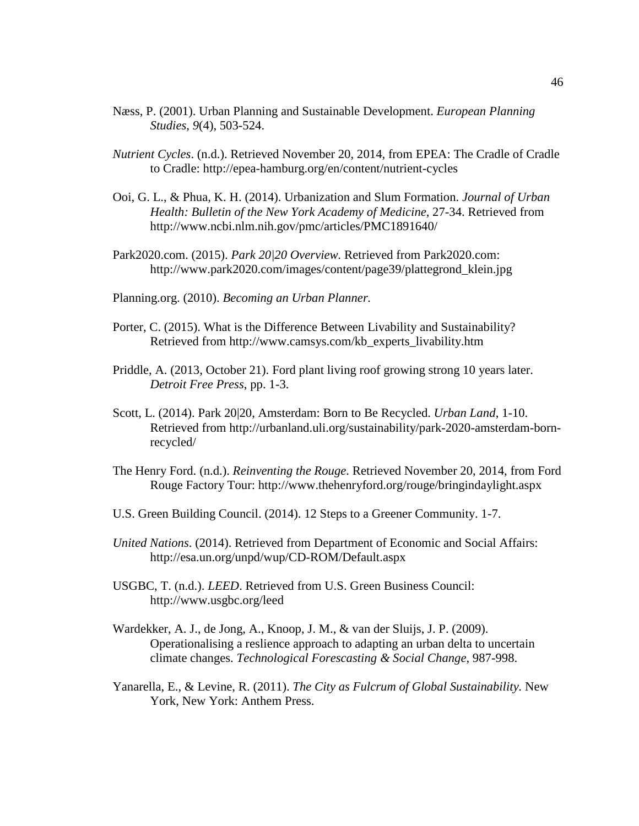- Næss, P. (2001). Urban Planning and Sustainable Development. *European Planning Studies, 9*(4), 503-524.
- *Nutrient Cycles*. (n.d.). Retrieved November 20, 2014, from EPEA: The Cradle of Cradle to Cradle: http://epea-hamburg.org/en/content/nutrient-cycles
- Ooi, G. L., & Phua, K. H. (2014). Urbanization and Slum Formation. *Journal of Urban Health: Bulletin of the New York Academy of Medicine*, 27-34. Retrieved from http://www.ncbi.nlm.nih.gov/pmc/articles/PMC1891640/
- Park2020.com. (2015). *Park 20|20 Overview.* Retrieved from Park2020.com: http://www.park2020.com/images/content/page39/plattegrond\_klein.jpg
- Planning.org. (2010). *Becoming an Urban Planner.*
- Porter, C. (2015). What is the Difference Between Livability and Sustainability? Retrieved from http://www.camsys.com/kb\_experts\_livability.htm
- Priddle, A. (2013, October 21). Ford plant living roof growing strong 10 years later. *Detroit Free Press*, pp. 1-3.
- Scott, L. (2014). Park 20|20, Amsterdam: Born to Be Recycled. *Urban Land*, 1-10. Retrieved from http://urbanland.uli.org/sustainability/park-2020-amsterdam-bornrecycled/
- The Henry Ford. (n.d.). *Reinventing the Rouge*. Retrieved November 20, 2014, from Ford Rouge Factory Tour: http://www.thehenryford.org/rouge/bringindaylight.aspx
- U.S. Green Building Council. (2014). 12 Steps to a Greener Community. 1-7.
- *United Nations*. (2014). Retrieved from Department of Economic and Social Affairs: http://esa.un.org/unpd/wup/CD-ROM/Default.aspx
- USGBC, T. (n.d.). *LEED*. Retrieved from U.S. Green Business Council: http://www.usgbc.org/leed
- Wardekker, A. J., de Jong, A., Knoop, J. M., & van der Sluijs, J. P. (2009). Operationalising a reslience approach to adapting an urban delta to uncertain climate changes. *Technological Forescasting & Social Change*, 987-998.
- Yanarella, E., & Levine, R. (2011). *The City as Fulcrum of Global Sustainability.* New York, New York: Anthem Press.